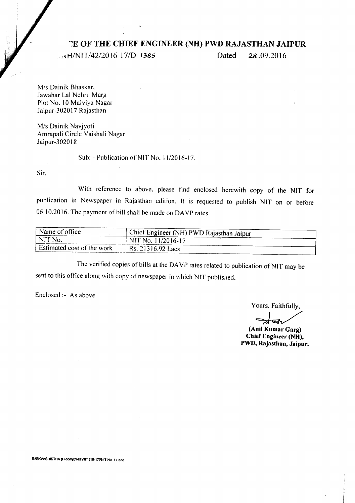## --:E **OF THE CHIEF ENGINEER (NH) PWD RAJASTHAN JAIPUR**

*\_,1\ltfINIT/42/2016-17/D- 1.365* Dated **28.09.2016**

*Mis* Dainik Bhaskar, Jawahar Lal Nehru Marg Plot No. 10 Malviva Nagar Jaipur-302017 Rajasthan

*Mis* Dainik Navjyoti Amrapali Circle Vaishali Nagar Jaipur-3020 18

Sub: - Publication of NIT No. 11/2016-17.

Sir.

With reference to above. please find enclosed herewith copy of the NIT for publication in Newspaper in Rajasthan edition. It is requested to publish NIT on or before 06, I0.2016. The payment of bill shall be made on DA VP rates.

| Name of office             | Chief Engineer (NH) PWD Rajasthan Jaipur |
|----------------------------|------------------------------------------|
| NIT No.                    | NIT No. 11/2016-17                       |
| Estimated cost of the work | $RS. 21316.92$ Lacs                      |
|                            |                                          |

The verified copies of bills at the DAVP rates related to publication of NIT may be sent to this office along with copy of newspaper in which NIT published.

Enclosed:- As above

Yours. Faithfully,

~

**(Anil Kumar Garg) Chief Engineer (NH), PWD, Rajasthan, Jaipur.**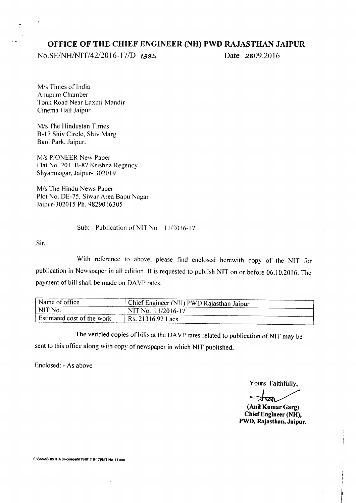#### **OFFICE OF THE CHIEF ENGINEER (NH) PWD RAJASTHAN JAIPUR**

*No.SEINHINIT/42/2016-17/D- 1385* Date 28.09.2016

*Mis* Times of India Anupum Chamber Tonk Road Near Laxmi Mandir Cinema Hall Jaipur

*Mis* The Hindustan Times B-17 Shiv Circle, Shiv Marg Bani Park, Jaipur.

*Mis* PIONEER New Paper Flat No. 201. B-87 Krishna Regency Shyamnagar, Jaipur- 302019

*Mis* The Hindu News Paper Plot No. DE-75, Siwar Area Bapu Nagar Jaipur-302015 Ph. 9829016305

Sub: - Publication of NIT No. 11/2016-17.

Sir,

÷,

With reference to above. please find enclosed herewith copy of the NIT for publication in Newspaper in all edition. It is requested to publish NIT on or before 06.10.2016. The payment of bill shall be made on DAVP rates.

| Name of office             | Graden Chief Engineer (NH) PWD Rajasthan Jaipur |
|----------------------------|-------------------------------------------------|
| NIT No.                    | NIT No. 11/2016-17                              |
| Estimated cost of the work | $RS. 21316.92$ Lacs                             |

The verified copies of bills at the DAVP rates related to publication of NIT may be sent to this office along with copy of newspaper in which NIT published.

Enclosed: - As above

Yours Faithfully,

~

**(Anil Kumar Garg) Chief Engineer (NH), PWD, Rajasthan, Jaipur.**

E:ISKVASHISTHA (H-comp)INITlNIT (16-17)INIT No. II.doc.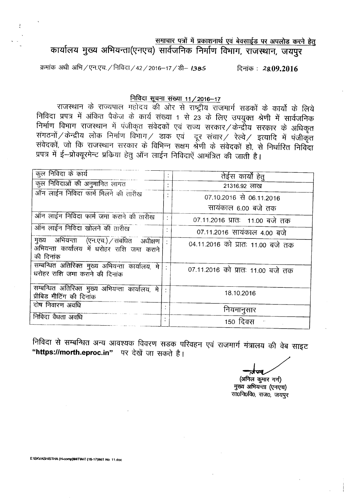समाचार पत्रों में प्रकाशनार्थ एवं बेवसाईड पर अपलोड करने हेतू

कार्यालय मुख्य अभियन्ता(एनएच) सार्वजनिक निर्माण विभाग, राजस्थान, जयपूर

<sup>~</sup> 3ltTr 3@r/~.-q=q./f.'rfctc:1/42/2016-17 /~- *138S* ~: 28.09.2016

### <u>निविदा सूचना संख्या 11 / 2016-17</u>

राजस्थान के राज्यपाल महोदय की ओर से राष्ट्रीय राजमार्ग सडकों के कार्यो के लिये निविदा प्रपत्र में अंकित पैकेज के कार्य संख्या 1 से 23 के लिए उपयुक्त श्रेणी में सार्वजनिक निर्माण विभाग राजस्थान में पंजीकृत संवेदकों एवं राज्य सरकार ⁄ केन्द्रीय सरकार के अ सगठनो $\!/$ केन्द्रीय लोक निर्माण विभाग $\!/$  डाक एवं) दूर संचार $\!/$  रेल्वे $\!/$  इत्यादि में पंजीकृत सवेदकों, जो कि राजस्थान सरकार के विभिन्न सक्षम श्रेणी के संवेदकों हो, से निर्धारित निर्वित प्रपत्र में ई-प्रोक्यूरमेन्ट प्रकिया हेतु ऑन लाईन निविदाऐं आमंत्रित की जाती है।

| कुल निविदा के कार्य                                                                                  | $\ddot{\cdot}$ | तेईस कार्यों हेत्                 |
|------------------------------------------------------------------------------------------------------|----------------|-----------------------------------|
| कुल निविदाओं की अनुमानित लागत                                                                        | ٠              | 21316.92 लाख                      |
| ऑन लाईन निविदा फार्म मिलने की तारीख                                                                  |                | 07.10.2016 से 06.11.2016          |
|                                                                                                      |                | सायंकाल 6.00 बजे तक               |
| ऑन लाईन निविदा फार्म जमा कराने की तारीख                                                              |                | 07.11.2016 प्रातः 11.00 बजे तक    |
| ऑन लाईन निविदा खोलने की तारीख                                                                        |                | 07.11.2016 सायंकाल 4.00 बजे       |
| मुख्य अभियन्ता (एन.एच.) / संबंधित अधीक्षण<br>अभियन्ता कार्यालय में धरोहर राशि जमा कराने<br>की दिनांक |                | 04.11.2016 को प्रातः 11.00 बजे तक |
| सम्बन्धित अतिरिक्त मुख्य अभियन्ता कार्यालय, मे<br>धरोहर राशि जमा कराने की दिनांक                     |                | 07.11.2016 को प्रातः 11.00 बजे तक |
| सम्बन्धित अतिरिक्त मुख्य अभियन्ता कार्यालय, मे<br>प्रीबिड मीटिंग की दिनांक                           |                | 18.10.2016                        |
| दोष निवारण अवधि                                                                                      |                | नियमानुसार                        |
| निविदा वैधता अवधि                                                                                    | $\bullet$      | 150 दिवस                          |

निविदा से सम्बन्धित अन्य आवश्यक विवरण सडक परिवहन एवं राजमार्ग मंत्रालय की वेब साइट "https://morth.eproc.in" पर देखें जा सकते है।

(अनिल कुमार गर्ग) मुख्य अभियन्ता (एनएच) सा0नि0वि0, राज0, जयपुर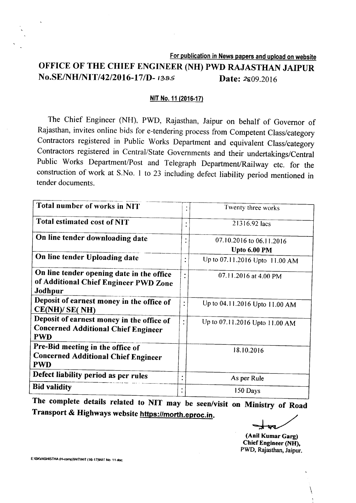For publication in News papers and upload on website OFFICE OF THE CHIEF ENGINEER (NH) PWD RAJASTHAN JAIPUR **No.SE/NH/NIT/42/2016-17/D-** 1385 Date: 2g09.2016

#### NIT No. 11 (2016-17)

The Chief Engineer (NH), PWD, Rajasthan, Jaipur on behalf of Governor of Rajasthan, invites online bids for e-tendering process from Competent Class/category Contractors registered in Public Works Department and equivalent Class/category Contractors registered in Central/State Governments and their undertakings/Central Public Works Department/Post and Telegraph Department/Railway etc. for the construction of work at S.No. 1 to 23 including defect liability period mentioned in tender documents.

| Total number of works in NIT                                                                          | ٠ | Twenty three works                       |
|-------------------------------------------------------------------------------------------------------|---|------------------------------------------|
| Total estimated cost of NIT                                                                           |   | 21316.92 lacs                            |
| On line tender downloading date                                                                       |   | 07.10.2016 to 06.11.2016<br>Upto 6.00 PM |
| On line tender Uploading date                                                                         | ٠ | Up to 07.11.2016 Upto 11.00 AM           |
| On line tender opening date in the office<br>of Additional Chief Engineer PWD Zone<br>Jodhpur         |   | 07.11.2016 at 4.00 PM                    |
| Deposit of earnest money in the office of<br>CE(NH)/ SE( NH)                                          | ٠ | Up to 04.11.2016 Upto 11.00 AM           |
| Deposit of earnest money in the office of<br><b>Concerned Additional Chief Engineer</b><br><b>PWD</b> | ٠ | Up to 07.11.2016 Upto 11.00 AM           |
| Pre-Bid meeting in the office of<br><b>Concerned Additional Chief Engineer</b><br><b>PWD</b>          |   | 18.10.2016                               |
| Defect liability period as per rules                                                                  |   | As per Rule                              |
| <b>Bid validity</b>                                                                                   |   | 150 Days                                 |

Transport & Highways website https://morth.eproc.in. The complete details related to NIT may be seen/visit on Ministry of Road

(Anil KumarGarg) Chief Engineer (NH), PWD, Rajasthan, Jaipur.

\

E:ISKVASHISTHA (H-comp)INITINIT (16-17)INIT No 11 doc.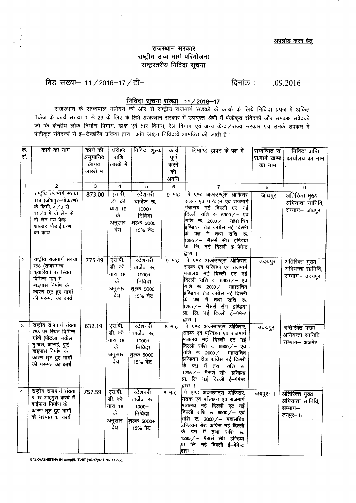#### राजस्थान सरकार राष्ट्रीय उच्च मार्ग परियोजना  $\overline{q}$ एंट्रस्तरीय निविदा सूचना

<sup>~</sup> ~- 11/2016-17/tt- .09.2016

#### <u>निविदा सूचना संख्या 11 ⁄ 2016–17</u>

राजस्थान के राज्यपाल महोदय की ओर से राष्ट्रीय राजमार्ग सडकों के कार्यों के लिये निविदा प्रपत्र में अं पैकेज के कार्य संख्या 1 से 23 के लिए के लिये राजस्थान सरकार में उपयुक्त श्रेणी में पंजीकृत संवेदकों और समकक्ष स जो कि केन्द्रीय लोक निर्माण विभाग, डाक एवं तार विभाग, रेल विभाग एवं अन्य केन्द्र / राज्य सरकार एवं उनके उपकम में  $\frac{1}{2}$  गंजीकृत संवेदकों से ई-टेन्डरिंग प्रकिया द्वारा ऑन लाइन निविदायें आमंत्रित की जाती है :-

| क.                      | कार्य का नाम                            | कार्य की  | धरोहर                   | निविदा शुल्क           | कार्य               | डिमाण्ड ड्राफ्ट के पक्ष में               | सम्बन्धित रा. | निविदा प्राप्ति  |
|-------------------------|-----------------------------------------|-----------|-------------------------|------------------------|---------------------|-------------------------------------------|---------------|------------------|
| सं.                     |                                         | अनुमानित  | राशि                    |                        | पूर्ण               |                                           | रा.मार्ग खण्ड | कार्यालय का नाम  |
|                         |                                         | लागत      | लाखों में               |                        | करने                |                                           | का नाम        |                  |
|                         |                                         | लाखों में |                         |                        | की                  |                                           |               |                  |
|                         |                                         |           |                         |                        | अवधि                |                                           |               |                  |
| $\mathbf{1}$            | $\overline{2}$                          | 3         | $\overline{\mathbf{4}}$ | 5                      | 6                   | $\overline{7}$                            | 8             | 9                |
| $\mathbf{1}$            | राष्ट्रीय राजमार्ग संख्या               | 873.00    | एसबी                    | रटेशनरी                | $9$ $H\overline{6}$ | पे एण्ड अकाउण्ट्स ओफिसर,                  | जोघपुर        | अतिरिक्त मुख्य   |
|                         | 114 (जोधपुर-पोकरण)                      |           | डी की                   | चार्जेज रू.            |                     | सिडक एव परिवहन एवं राजमार्ग               |               | अभियन्ता सानिवि, |
|                         | के किमी. 4/0 से                         |           | धारा 16                 | $1000+$                |                     | मंत्रालय नई दिल्ली एट नई                  |               | सम्भाग- जोधपुर   |
|                         | 11 /0 में दो लेन से                     |           | के                      | निविदा                 |                     | दिल्ली राशि रू. 6900 ⁄ – एवं              |               |                  |
|                         | दो लेन मय पेव्ड                         |           | अनुसार                  | शुल्क 5000+            |                     | राशि रू. 2000 ⁄ – महासचिव                 |               |                  |
|                         | शोल्डर चौडाईकरण<br>का कार्य             |           | ਣੇਹ                     | 15% वेट                |                     | इण्डियन रोड कांग्रेस नई दिल्ली            |               |                  |
|                         |                                         |           |                         |                        |                     | पक्ष में तथा राशि रू.                     |               |                  |
|                         |                                         |           |                         |                        |                     | 1295 ⁄ – मैसर्स सी1 इण्डिया               |               |                  |
|                         |                                         |           |                         |                        |                     | प्रा. लि. नई दिल्ली ई—पेमेन्ट<br>द्वारा । |               |                  |
| $\sqrt{2}$              | राष्ट्रीय राजमार्ग संख्या               | 775.49    | एस.बी.                  | स्टेशनरी               | 9 माह               | पे एण्ड अकाउण्ट्स ओफिसर,                  |               |                  |
|                         | 758 (राजसमन्द-                          |           | डी. की                  | यार्जेज रू.            |                     | सिडक एव परिवहन एवं राजमार्ग               | उदयपुर        | अतिरिक्त मुख्य   |
|                         | कुंवारिया) पर स्थित                     |           | धारा १६                 | 1000+                  |                     | .<br>मंत्रालय नई दिल्ली एट नई             |               | अभियन्ता सानिवि, |
|                         | विभिन्न गांव में                        |           | के                      | निविदा                 |                     | दिल्ली राशि रू. 6900 ⁄ – एवं              |               | सम्भाग- उदयपुर   |
|                         | बाइपास निर्माण के                       |           |                         |                        |                     | राशि रू. 2000 ∕ -- महासचिव                |               |                  |
|                         | कारण छूट हुए भागों                      |           | अनुसार<br>ਵੇਧ           | शुल्क ५०००+            |                     | इण्डियन रोड कांग्रेस नई दिल्ली            |               |                  |
|                         | की मरम्मत का कार्य                      |           |                         | 15% वेट                |                     | पक्ष में तथा राशि रू                      |               |                  |
|                         |                                         |           |                         |                        |                     | 1295 ⁄ — मैसर्स सी1 इण्डिया               |               |                  |
|                         |                                         |           |                         |                        |                     | प्रा. लि. नई दिल्ली ई-पेमेन्ट             |               |                  |
|                         |                                         |           |                         |                        |                     | द्वारा ।                                  |               |                  |
| 3                       | राष्ट्रीय राजमार्ग संख्या               | 632.19    | एस.बी.                  | स्टेशनरी               | <b>8 माह</b>        | पे एण्ड अकाउण्ट्स ओफिसर,                  | उदयपुर        | अतिरिक्त मुख्य   |
|                         | 758 पर स्थित विभिन्न                    |           | डी की                   | चार्जेज रू.            |                     | सिडक एव परिवहन एवं राजमार्ग               |               | अभियन्ता सानिवि, |
|                         | गांवों (पोटला, गठीला,                   |           | धारा १६                 | $1000+$                |                     | मंत्रालय नई दिल्ली एट नई                  |               | सम्भाग- अजमेर    |
|                         | भुणास, कारोई, पुर)<br>बाइपास निर्माण के |           | के                      | निविदा                 |                     | दिल्ली राशि रू. 6900/– एवं                |               |                  |
|                         | कारण छूट हुए भागों                      |           | अनुसार                  | शुल्क 5000+            |                     | राशि रू. 2000 ⁄ – महासचिव                 |               |                  |
|                         | की मरम्मत का कार्य                      |           | देय                     | 15% वेट                |                     | .<br>इण्डियन रोड कांग्रेस नई दिल्ली       |               |                  |
|                         |                                         |           |                         |                        |                     | के पक्ष में तथा राशि रू.                  |               |                  |
|                         |                                         |           |                         |                        |                     | 1295 / – मैसर्स सी1 इण्डिया               |               |                  |
|                         |                                         |           |                         |                        |                     | प्रा. लि. नई दिल्ली ई-पेमेन्ट<br>द्वारा । |               |                  |
| $\overline{\mathbf{A}}$ | राष्ट्रीय राजमार्ग संख्या               | 757.59    | एस.बी.                  | स्टेशनरी               | 8 माह               | पे एण्ड अकाउण्ट्स ओफिसर,                  |               |                  |
|                         | 8 पर शाहपुरा कस्बे में                  |           | डी. की                  | चार्जेज रू.            |                     | सिडक एव परिवहन एवं राजमार्ग               | जयपुर–।       | अतिरिक्त मुख्य   |
|                         | बाईपास निर्माण के                       |           | धारा १६                 | 1000+                  |                     | मंत्रालय नई दिल्ली एट नई                  |               | अभियन्ता सानिवि, |
|                         | कारण छूट हुए भागों                      |           | के                      | निविदा                 |                     | दिल्ली राशि रू. 6900/- एवं                |               | सम्भाग-          |
|                         | की मरम्मत का कार्य                      |           |                         |                        |                     | राशि रू. 2000 ⁄ – महासचिव                 |               | जयपुर-11         |
|                         |                                         |           | अनुसार<br>देय           | शूल्क 5000+<br>15% ਧੇਟ |                     | इण्ड्यिन रोड कांग्रेस नई दिल्ली           |               |                  |
|                         |                                         |           |                         |                        |                     | कि पक्ष में तथा राशि रू.                  |               |                  |
|                         |                                         |           |                         |                        |                     | 1295 ⁄ — मैसर्स सी1 इण्डिया               |               |                  |
|                         |                                         |           |                         |                        |                     | प्रा. लि. नई दिल्ली ई--पेमेन्ट            |               |                  |
|                         |                                         |           |                         |                        |                     | द्रारा ।                                  |               |                  |

E:ISKVASHISTHA (H-comp)INITINIT (16-17)INIT No. 11.doc.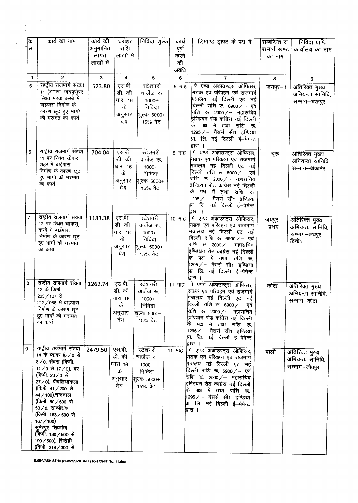|                | ĪΦ. | कार्य का नाम                                | कार्य की     | धरोहर            | निविदा शुल्क            | कार्य  | डिमाण्ड ड्राफ्ट के पक्ष में                                              | सम्बन्धित रा. | निविदा प्राप्ति          |
|----------------|-----|---------------------------------------------|--------------|------------------|-------------------------|--------|--------------------------------------------------------------------------|---------------|--------------------------|
|                | स.  |                                             | अनुमानित     | राशि             |                         | पूर्ण  |                                                                          | रा.मार्ग खण्ड | कार्यालय का नाम          |
|                |     |                                             | लागत         | लाखों में        |                         | करने   |                                                                          | का नाम        |                          |
|                |     |                                             | लाखों में    |                  |                         | की     |                                                                          |               |                          |
|                |     |                                             |              |                  |                         | अवधि   |                                                                          |               |                          |
|                | 1   | $\overline{2}$<br>राष्ट्रीय राजमार्ग संख्या | $\mathbf{3}$ | 4                | 5                       | 6      | 7                                                                        | 8             | 9                        |
|                | 5   | 11 (आगरा-जयपुर)पर                           | 523.80       | एस.बी.<br>डी. की | स्टेशनरी<br>चार्जेज रू. | 8 माह  | पे एण्ड अकाउण्ट्स ओफिसर,<br>सडक एव परिवहन एवं राजमार्ग                   | जयपुर-।       | अतिरिक्त मुख्य           |
|                |     | स्थित महवा कस्बे में                        |              | धारा 16          | $1000+$                 |        | मंत्रालय नई दिल्ली एट नई                                                 |               | अभियन्ता सानिवि,         |
|                |     | बाईपास निर्माण के                           |              | के               | निविदा                  |        | दिल्ली राशि रू. 6900 ⁄ – एवं                                             |               | सम्भाग-भरतपुर            |
|                |     | कारण छूट हुए भागो                           |              | अनुसार           | शुल्क 5000+             |        | राशि रू 2000 / - महासचिव                                                 |               |                          |
|                |     | की मरम्मत का कार्य                          |              | देय              | 15% वेट                 |        | इण्डियन रोड कांग्रेस नई दिल्ली                                           |               |                          |
|                |     |                                             |              |                  |                         |        | पक्ष में तथा राशि रू                                                     |               |                          |
|                |     |                                             |              |                  |                         |        | 1295 ⁄ – मैसर्स सी1 इण्डिया<br>प्रा. लि. नई दिल्ली ई-पेमेन्ट             |               |                          |
|                |     |                                             |              |                  |                         |        | द्वारा ।                                                                 |               |                          |
|                | 6   | राष्ट्रीय राजमार्ग संख्या                   | 704.04       | एस.बी.           | स्टेशनरी                | 8 माह  | पे एण्ड अकाउण्ट्स ओफिसर,                                                 | चूरू          | अतिरिक्त मुख्य           |
|                |     | 11 पर स्थित सीकर                            |              | डी की            | चार्जेज रू.             |        | सिडक एव परिवहन एवं राजमार्ग                                              |               | अभियन्ता सानिवि.         |
|                |     | शहर में बाईपास                              |              | धारा 16          | $1000+$                 |        | मंत्रालय नई दिल्ली एट नई                                                 |               | सम्भाग--बीकानेर          |
|                |     | निर्माण के कारण छूट<br>हुए भागों की मरम्मत  |              | के               | निविदा                  |        | दिल्ली राशि रू. 6900 ⁄ – एवं                                             |               |                          |
|                |     | का कार्य                                    |              | अनुसार           | शुल्क 5000+             |        | राशि रू. 2000 ⁄ – महासचिव<br>इण्डियन रोड कांग्रेस नई दिल्ली              |               |                          |
|                |     |                                             |              | देय              | 15% वेट                 |        | पक्ष में तथा राशि रू.<br>कि                                              |               |                          |
|                |     |                                             |              |                  |                         |        | 1295 / – मैसर्स सी1 इण्डिया                                              |               |                          |
|                |     |                                             |              |                  |                         |        | ष्रा. लि. नई दिल्ली ई—पेमेन <del>्ट</del>                                |               |                          |
| $\overline{7}$ |     | राष्ट्रीय राजमार्ग संख्या                   |              |                  |                         |        | द्वारा ।                                                                 |               |                          |
|                |     | 12 पर स्थित चाकसू                           | 1183.38      | एस.बी.<br>डी. की | स्टेशनरी<br>चार्जेज रू. | 10 माह | पे एण्ड अकाउण्ट्स ओफिसर,<br>सिडक एव परिवहन एवं राजमार्ग                  | जयपुर–        | अतिरिक्त मुख्य           |
|                |     | कस्बे में बाईपास                            |              | धारा 16          | $1000+$                 |        | मंत्रालय नई दिल्ली एट नई                                                 | प्रथम         | अभियन्ता सानिवि,         |
|                |     | निर्माण के कारण छूट                         |              | के               | निविदा                  |        | दिल्ली राशि रू. 6900 ⁄ – एवं                                             |               | सम्भाग—जयपुर—<br>द्वितीय |
|                |     | हुए भागों की मरम्मत<br>का कार्य             |              | अनुसार           | शुल्क 5000+             |        | राशि रू. 2000 ⁄ — महासचिव                                                |               |                          |
|                |     |                                             |              | ਦੇ ਪ             | 15% वेट                 |        | .<br>इण्डियन रोड कांग्रेस नई दिल्ली                                      |               |                          |
|                |     |                                             |              |                  |                         |        | पक्ष में तथा राशि रू.<br>के<br>1295 / – मैसर्स सी1 इण्डिया               |               |                          |
|                |     |                                             |              |                  |                         |        | प्रा लि. नई दिल्ली ई--पेमेन्ट                                            |               |                          |
|                |     |                                             |              |                  |                         |        | द्वारा ।                                                                 |               |                          |
| $\bf{8}$       |     | राष्ट्रीय राजमार्ग संख्या<br>12 के किमी.    | 1262.74      | एस.बी.           | स्टेशनरी                | 11 गाह | पे एण्ड अकाउण्ट्स ओफिसर,                                                 | कोटा          | अतिरिक्त मुख्य           |
|                |     | 205 / 127 से                                |              | डी. की           | चार्जेज रू.             |        | सिडक एव परिवहन एवं राजमार्ग                                              |               | अभियन्ता सानिवि,         |
|                |     | 212/088 में बाईपास                          |              | धारा 16<br>के    | $1000+$<br>निविदा       |        | <sup> </sup> मंत्रालय नई दिल्ली एट नई<br>दिल्ली राशि रू. 6900 ⁄ – एवं    |               | सम्भाग–कोटा              |
|                |     | निर्माण के कारण छूट                         |              | अनुसार           | शुल्क ५०००+             |        | राशि रू. 2000/— महासचिव                                                  |               |                          |
|                |     | हुए भागों की मरम्मत                         |              | ਵੇਧ              | 15% वेट                 |        | इण्डियन रोड कांग्रेस नई दिल्ली                                           |               |                          |
|                |     | का कार्य                                    |              |                  |                         |        | पक्ष में तथा राशि रू.<br>ÞБ.                                             |               |                          |
|                |     |                                             |              |                  |                         |        | 1295 / — मैसर्स सी1 इण्डिया<br>प्रा. लि. नई दिल्ली ई—पेमेन <del>्ट</del> |               |                          |
|                |     |                                             |              |                  |                         |        | द्वारा ।                                                                 |               |                          |
| 9              |     | राष्ट्रीय राजमार्ग संख्या                   | 2479.50      | एस.बी.           | स्टेशनरी                | 11 माह | पे एण्ड अकाउण्ट्स ओफिसर,                                                 | पाली          | अतिरिक्त मुख्य           |
|                |     | 14 के ब्यावर (0/0 से                        |              | डी. की           | चार्जेज रू.             |        | सिडक एव परिवहन एवं राजमार्ग                                              |               | अभियन्ता सानिवि,         |
|                |     | 8/0, सेंदरा (किमी.<br>11/0 से 17/0), बर     |              | धारा १६          | $1000+$                 |        | मंत्रालय नई दिल्ली एट नई                                                 |               | सम्भाग-जोधपुर            |
|                |     | (किमी. 23/0 से                              |              | के               | निविदा                  |        | दिल्ली राशि रू. 6900 ⁄ – एवं<br>राशि रू. 2000 ⁄ – महासचिव                |               |                          |
|                |     | 27/0), पीपलियाकला                           |              | अनुसार           | शुल्क 5000+             |        | इण्डियन रोड कांग्रेस नई दिल्ली                                           |               |                          |
|                |     | (किमी. 41/200 से                            |              | देय              | 15% वेट                 |        | कि पक्ष में तथा राशि रू.                                                 |               |                          |
|                |     | 44 / 100), चन्दवाल                          |              |                  |                         |        | 1295 / – मैसर्स सी1 इण्डिया                                              |               |                          |
|                |     | (किमी. 50/500 से                            |              |                  |                         |        | थ्रा. लि. नई दिल्ली ई--पेमेन्ट                                           |               |                          |
|                |     | 53/0, साण्डेराव<br>(किमी. 163/500 से        |              |                  |                         |        | द्वारा ।                                                                 |               |                          |
|                |     | 167/100).                                   |              |                  |                         |        |                                                                          |               |                          |
|                |     | सुमेरपुर–शिवगंज                             |              |                  |                         |        |                                                                          |               |                          |
|                |     | (किमी. 180/500 से                           |              |                  |                         |        |                                                                          |               |                          |
|                |     | 190/500), सिरोही                            |              |                  |                         |        |                                                                          |               |                          |
|                |     | (किमी. 218 / 300 से                         |              |                  |                         |        |                                                                          |               |                          |

 $\langle \cdot \rangle$ 

E:\SKVASHISTHA (H-comp)\NIT\NIT (16-17)\NT No. 11.doc

 $\sim$   $\sim$ 

 $\begin{array}{c} \frac{1}{2} \\ \frac{1}{2} \\ \frac{1}{2} \end{array}$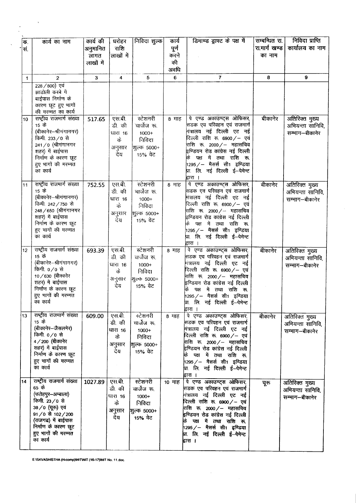| ÞБ.<br>सं. | कार्य का नाम                                                                                                                                                                                     | कार्य की<br>अनुमानित<br>लागत<br>लाखों में | घरोहर<br>राशि<br>लाखों में                         | निविदा शुल्क                                                           | कार्य<br>पूर्ण<br>करने<br>की<br>अवधि | डिमाण्ड ड्राफ्ट के पक्ष में                                                                                                                                                                                                                                                                                 | सम्बन्धित रा.<br>रा.मार्ग खण्ड<br>का नाम | निविदा प्राप्ति<br>कार्यालय का नाम                   |
|------------|--------------------------------------------------------------------------------------------------------------------------------------------------------------------------------------------------|-------------------------------------------|----------------------------------------------------|------------------------------------------------------------------------|--------------------------------------|-------------------------------------------------------------------------------------------------------------------------------------------------------------------------------------------------------------------------------------------------------------------------------------------------------------|------------------------------------------|------------------------------------------------------|
| 1          | $\overline{2}$                                                                                                                                                                                   | 3                                         | 4                                                  | 5.                                                                     | 6                                    | $\overline{7}$                                                                                                                                                                                                                                                                                              | 8                                        | 9                                                    |
|            | 228 / 800) एवं<br>झाडोली कस्बे गे<br>बाईपास निर्माण के<br>कारण छूट हुए भागों<br>की मरम्मत का कार्य                                                                                               |                                           |                                                    |                                                                        |                                      |                                                                                                                                                                                                                                                                                                             |                                          |                                                      |
| 10         | राष्ट्रीय राजमार्ग संख्या<br>15 के<br>(बीकानेर-श्रीयंगानगर)<br>किमी. 233/0 से<br>241/0 (श्रीगंगानगर<br>शहर) में बाईपास<br>निर्माण के कारण छूट<br>हुए भागों की मरम्मत<br>का कार्य                 | 517.65                                    | एस.बी.<br>डी. की<br>धारा 16<br>के<br>अनुसार<br>देय | स्टेशनरी<br>चार्जेज रू.<br>$1000+$<br>निविदा<br>शूल्क 5000+<br>15% वेट | 8 माह                                | पे एण्ड अकाउण्ट्स ओफिसर,<br>सिडक एव परिवहन एवं राजमार्ग<br>मित्रालय नई दिल्ली एट नई<br>दिल्ली राशि रू. 6900/- एवं<br>राशि रू. 2000 /– महासचिव<br>इण्डियन रोड कांग्रेस नई दिल्ली<br>पक्ष में तथा राशि रू.<br>1295 / — मैसर्स सी1 इण्डिया<br>प्रा लि. नई दिल्ली ई—पेमेन्ट<br>द्वारा ।                         | बीकानेर                                  | अतिरिक्त मुख्य<br>अभियन्ता सानिवि,<br>सम्भाग–बीकानेर |
| 11         | राष्ट्रीय राजमार्ग संख्या<br>15 के<br>(बीकानेर–श्रीगंगानगर)<br>किमी. 242/750 से<br>248 / 650 (श्रीगंगानगर<br>शहर) में बाईपास<br>निर्माण के कारण छूट<br>हुए भागों की मरम्मत<br>का कार्य           | 752.55                                    | एस.बी.<br>डी. की<br>धारा 16<br>के<br>अनुसार<br>ਖੇਧ | स्टेशनरी<br>चार्जेज रू.<br>$1000+$<br>निविदा<br>शूल्क 5000+<br>15% वेट | 8 माह                                | पे एण्ड अकाउण्ट्स ओफिसर,<br>सिडक एव परिवहन एवं राजमार्ग<br>मंत्रालय नई दिल्ली एट नई<br>दिल्ली राशि रू. 6900 ⁄ – एवं<br>राशि रू. 2000 ⁄ – महासचिव<br>इण्डियन रोड कांग्रेस नई दिल्ली<br>पक्ष में तथा राशि रू.<br>1295 / – मैसर्स सी1 इण्डिया<br>.<br>प्रा. लि. नई दिल्ली ई <mark>—पेमेन्ट</mark><br>द्वारा ।  | बीकानेर                                  | अतिरिक्त मुख्य<br>अभियन्ता सानिवि,<br>सम्भाग–बीकानेर |
| 12         | राष्ट्रीय राजमार्ग संख्या<br>15 के<br>(बीकानेर-श्रीगंगानगर)<br>किमी. 0/0 से<br>10/630 (बीकानेर<br>शहर) में बाईपास<br>निर्माण के कारण छूट<br>हुए भागों की मरम्मत<br>का कार्य                      | 693.39                                    | एस.बी.<br>डी. की<br>धारा 16<br>के<br>अनुसार<br>देय | स्टेशनरी<br>चार्जेज रू.<br>$1000+$<br>निविदा<br>शिल्क 5000+<br>15% वेट | 8 माह                                | पे एण्ड अकाउण्ट्स ओफिसर<br>.<br>सडक एव परिवहन एवं राजमार्ग<br>गंत्रालय नई दिल्ली एट नई<br>दिल्ली राशि रू. 6900 ⁄ – एवं<br>राशि रू. 2000 ⁄ – महासचिव<br><sup>नष्टियन</sup> रोड कांग्रेस नई दिल्ली<br>पक्ष में तथा राशि रू.<br>कि<br>1295 / — मैसर्स सी1 इण्डिया<br>प्रा. लि. नई दिल्ली ई—पेमेन्ट<br>द्वारा । | बीकानेर                                  | अतिरिक्त मुख्य<br>अभियन्ता सानिवि,<br>सम्भाग-बीकानेर |
| 13         | राष्ट्रीय राजमार्ग संख्या<br>15 के<br>(बीकानेर—जैसलमेर)<br>किमी. ०/० से<br>4/200 (बीकानेर<br>शहर) में बाईपास<br>निर्माण के कारण छूट<br>हुए भागों की मरम्मत<br>का कार्य                           | 609.00                                    | एस.बी.<br>डी. की<br>धारा 16<br>के<br>अनुसार<br>देय | स्टेशनरी<br>चार्जेज रू.<br>1000+<br>निविदा<br>शूल्क 5000+<br>15% वेट   | <b>8 माह</b>                         | पे एण्ड अकाउण्ट्स ओफिसर,<br>सिडक एव परिवहन एवं राजमार्ग<br>मंत्रालय नई दिल्ली एट नई<br>दिल्ली राशि रू. ६९०० ⁄ – एवं<br>राशि रू. 2000 ⁄ – महासचिव<br>.<br>इण्डियन रोड कांग्रेस नई दिल्ली<br>पक्ष में तथा राशि रू.<br> 1295 / -- मैसर्स सी1 इण्डिया<br>प्रा. लि. नई दिल्ली ई—पेमेन <del>्ट</del><br>द्वारा ।  | बीकानेर                                  | अतिरिक्त मुख्य<br>अभियन्ता सानिवि,<br>सम्भाग-बीकानेर |
| 14         | राष्ट्रीय राजमार्ग संख्या<br>65 के<br>(फतेहपुर–अम्बाला)<br>किमी. 23/0 से<br>38 / 0 (चूरू) एवं<br>91/0 से 102/200<br>(राजगढ) में बाईपास<br>निर्माण के कारण छूट<br>हुए भागों की मरम्मत<br>का कार्य | 1027.89                                   | एस.बी.<br>उी. की<br>धारा 16<br>के<br>अनुसार<br>देय | स्टेशनरी<br>चार्जेज रू.<br>$1000+$<br>निविदा<br>शुल्क 5000+<br>15% वेट | 10 माह                               | पे एण्ड अकाउण्ट्स ओफिसर,<br>सडक एव परिवहन एवं राजमार्ग<br>•ात्रालय नई दिल्ली एट नई<br>दिल्ली राशि रू. 6900 ⁄ – एवं<br>राशि रू. 2000 ⁄ – महासचिव<br>इण्डियन रोड कांग्रेस नई दिल्ली<br>पक्ष में तथा राशि रू.<br>1295 / — मैसर्स सी1 इण्डिया<br> प्रा. लि. नई दिल्ली ई <del>-</del> पेमेन्ट<br>द्वारा ।        | चूरु                                     | अतिरिक्त मुख्य<br>अभियन्ता सानिवि,<br>सम्भाग–बीकानेर |

 $\mathcal{L}_{\mathcal{L}}$ 

 $\epsilon$ 

E:\SKVASHISTHA (H-comp)\NIT\NIT (16-17)\NIT No. 11.doc.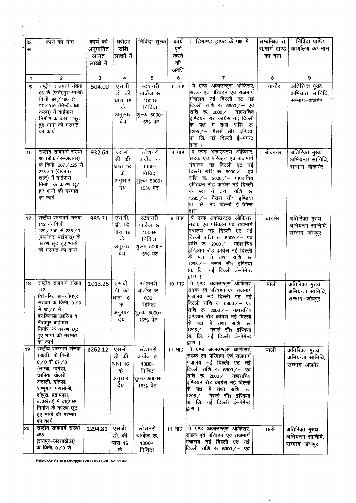| क.<br>सं.       | कार्य का नाम                                                                                                                                                                                                                                     | कार्य की<br>अनुमानित<br>लागत<br>लाखों में | धरोहर<br>राशि<br>लाखों में                         | निविदा शुल्क                                                           | कार्य<br>पूर्ण<br>करने<br>की<br>अवधि | डिमाण्ड ड्राफ्ट के पक्ष में                                                                                                                                                                                                                                                                                  | सम्बन्धित रा.<br>रा.मार्ग खण्ड<br>का नाम | निविदा प्राप्ति<br>कार्यालय का नाम                   |
|-----------------|--------------------------------------------------------------------------------------------------------------------------------------------------------------------------------------------------------------------------------------------------|-------------------------------------------|----------------------------------------------------|------------------------------------------------------------------------|--------------------------------------|--------------------------------------------------------------------------------------------------------------------------------------------------------------------------------------------------------------------------------------------------------------------------------------------------------------|------------------------------------------|------------------------------------------------------|
| $\mathbf{1}$    | $\overline{2}$                                                                                                                                                                                                                                   | 3                                         | 4                                                  | 5                                                                      | 6                                    | $\overline{7}$                                                                                                                                                                                                                                                                                               | 8                                        | 9                                                    |
| $\overline{15}$ | राष्ट्रीय राजमार्ग संख्या<br>65 के (फतेहपुर-पाली)<br>किमी. 94 / 480 से<br>97/910 (निम्बीजोधा<br>कस्बा) में बाईपास<br>निर्माण के कारण छूट<br>हुए भागों की मरम्मत<br>का कार्य                                                                      | 504.00                                    | एस.बी.<br>डी. की<br>धारा 16<br>के<br>अनुसार<br>देय | स्टेशनरी<br>चार्जेज रू.<br>$1000+$<br>निविदा<br>शुल्क 5000+<br>15% ਕੇਟ | 8 माह                                | पे एण्ड अकाउण्ट्स ओफिसर,<br>सिडक एव परिवहन एवं राजमार्ग<br>मंत्रालय नई दिल्ली एट नई<br>दिल्ली राशि रू. 6900 ⁄ – एवं<br>राशि रू. 2000 /– महासचिव<br>.<br>इण्डियन रोड कांग्रेस नई दिल्ली<br>कि पक्ष में तथा राशि<br>रू.<br>1295 / – मैसर्स सी1 इण्डिया<br>प्रा. लि. नई दिल्ली ई—पेमेन्ट<br>द्वारा ।            | नागौर                                    | अतिरिक्त मुख्य<br>अभियन्ता सानिवि,<br>सम्भाग-अजमेर   |
| 16              | राष्ट्रीय राजमार्ग संख्या<br>89 (बीकानेर-अजमेर)<br>के किमी. 267/325 से<br>278/0 (बीकानेर<br>शहर) में बाईपास<br>निर्माण के कारण छूट<br>हुए भागों की मरम्मत<br>का कार्य                                                                            | 932.64                                    | एस.बी.<br>डी. की<br>धारा 16<br>के<br>अनुसार<br>देय | स्टेशनरी<br>चार्जेज रू.<br>$1000+$<br>निविदा<br>शुल्क 5000+<br>15% वेट | 9 माह                                | पे एण्ड अकाउण्ट्स ओफिसर,<br>सिडक एव परिवहन एवं राजमार्ग<br>.<br>मंत्रालय नई दिल्ली एट नई<br>दिल्ली राशि रू. 6900 $/-$ एवं<br>राशि रू. 2000 / – महासचिव<br>इण्डियन रोड कांग्रेस नई दिल्ली<br>पक्ष में तथा राशि रू.<br>के<br>1295 / – मैसर्स सी1 इण्डिया<br>uा लि. नई दिल्ली ई—पेमेन <del>्ट</del><br>द्वारा । | बीकानेर                                  | अतिरिक्त मुख्य<br>अभियन्ता सानिवि,<br>सम्भाग–बीकानेर |
| 17              | राष्ट्रीय राजमार्ग संख्या<br>112 के किमी.<br>229/700 से 236/0<br>(बालोतरा बाईपास) के<br>कारण छूट हुए भागों<br>की मरम्मत का कार्य                                                                                                                 | 985.71                                    | एस.बी.<br>डी. की<br>धारा १६<br>के<br>अनुसार<br>ਵੇਧ | स्टेशनरी<br>चार्जेज रू.<br>$1000+$<br>निविदा<br>शिल्क 5000+<br>15% ਕੇਟ | 9 माह                                | पे एण्ड अकाउण्ट्स ओफिसर,<br>सिडक एव परिवहन एवं राजमार्ग<br>गंत्रालय नई दिल्ली एट नई<br>दिल्ली राशि रू. 6900 ⁄ – एवं<br>राशि रू. 2000 ⁄ – महासचिव<br>इण्डियन रोड कांग्रेस नई दिल्ली<br>पक्ष में तथा राशि रू.<br>के<br>1295 ⁄ – मैसर्स सी1 इण्डिया<br>प्रा. लि. नई दिल्ली ई--पेमेन्ट<br>द्वारा ।               | बाडमेर                                   | अतिरिक्त मुख्य<br>अभियन्ता सानिवि,<br>सम्भाग-जोधपुर  |
| 18              | राष्ट्रीय राजमार्ग संख्या<br>112<br>(बर–बिलाडा–जोधपुर<br>सडक) के किमी. 0/0<br>से 50/0 में<br>बर,बिलाडा,खारिया व<br>मीठापुर बाईपास<br>निर्माण के कारण छूट<br>हुए भागों की मरम्मत<br>का कार्य                                                      | 1013.25 एस.बी.                            | डी. की<br>धारा 16<br>के<br>अनुसार<br>देय           | स्टेशनरी<br>चार्जेज रू.<br>$1000+$<br>निविदा<br>शुल्क 5000+<br>15% वेट | 10 माह                               | पे एण्ड अकाउण्ट्स ओफिसर,<br>सिडक एव परिवहन एवं राजमार्ग<br>गंत्रालय नई दिल्ली एट नई<br>दिल्ली राशि रू. 6900 ⁄ – एवं<br>राशि रू 2000 ⁄ -- महासचिव<br>इण्डियन रोड कांग्रेस नई दिल्ली<br>पक्ष में तथा राशि रू.<br> 1295 ∕ — मैसर्स सी1 इण्डिया<br>µा. लि. नई दिल्ली ई—पेमेन्ट<br>द्वारा ।                       | पाली                                     | अतिरिक्त मुख्य<br>अभियन्ता सानिवि,<br>सम्भाग--जोधपुर |
| 19              | राष्ट्रीय राजमार्ग संख्या<br>148डी के किमी.<br>$0/0$ से 67/0<br>(लाम्बा, गागेडा,<br>छापिया, खेजरी,<br>अटाली, दातडा,<br>शम्भूगढ, परासोली,<br>शोपुरा, प्रतापपुरा,<br>बडाखेडा) में बाईपास<br>निर्माण के कारण छूट<br>हुए भागों की मरम्मत<br>का कार्य | 1262.12                                   | एस.बी.<br>डी. की<br>धारा 16<br>के<br>अनुसार<br>देय | स्टेशनरी<br>चार्जेज रू.<br>$1000+$<br>निविदा<br>शुल्क 5000+<br>15% वेट | 11 माह                               | पे एण्ड अकाउण्ट्स ओफिसर,<br>सिडक एव परिवहन एवं राजमार्ग<br>∳ांत्रालय नई दिल्ली एट नई<br>दिल्ली राशि रू. 6900 ⁄ – एवं<br>राशि रू. 2000 ⁄ — महासचिव<br>इण्डियन रोड कांग्रेस नई दिल्ली<br>पक्ष में तथा राशि रू.<br>1295 / — मैसर्स सी1 इण्डिया<br>प्रा. लि. नई दिल्ली ई—पेमेन्ट<br>द्वारा ।                     | पाली                                     | अतिरिक्त मुख्य<br>अभियन्ता सानिवि,<br>सम्भाग-अजमेर   |
| 20              | राष्ट्रीय राजमार्ग संख्या<br>458<br>(रायपुर–जस्साखेडा)<br>के किमी. 0/0 से                                                                                                                                                                        | 1294.81                                   | एस.बी.<br>डी. की<br>धारा 16<br>के                  | स्टेशनरी<br>चार्जेज रू.<br>$1000+$<br>निविदा                           | 11 माह                               | पे एण्ड अकाउण्ट्स ओफिसर,<br>सिडक एव परिवहन एवं राजमार्ग<br>मंत्रालय नई दिल्ली एट नई<br>दिल्ली राशि रू. 6900/– एवं                                                                                                                                                                                            | पाली                                     | अतिरिक्त मुख्य<br>अभियन्ता सानिवि,<br>सम्भाग—जोधपुर  |

 $\tilde{\mathcal{I}}$ 

 $\hat{\mathcal{A}}$ 

E:\SKVASHISTHA (H-comp)\NIT\NIT (16-17)\NT No. 11.doc.

 $\hat{\mathcal{A}}$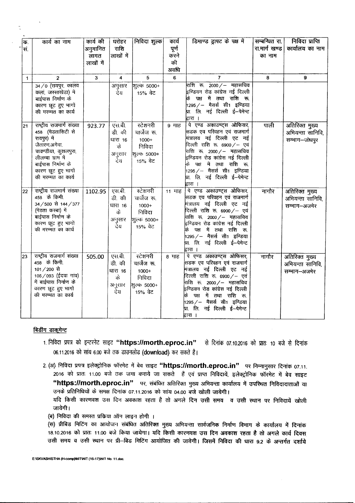| ∣क.          | कार्य का नाम                                                                                                                                                                                 | कार्य की  | घरोहर                                                | निविदा शुल्क                                                           | कार्य        | डिमाण्ड ड्राफ्ट के पक्ष में                                                                                                                                                                                                                                                                        | सम्बन्धित रा. | निविदा प्राप्ति                                     |
|--------------|----------------------------------------------------------------------------------------------------------------------------------------------------------------------------------------------|-----------|------------------------------------------------------|------------------------------------------------------------------------|--------------|----------------------------------------------------------------------------------------------------------------------------------------------------------------------------------------------------------------------------------------------------------------------------------------------------|---------------|-----------------------------------------------------|
| स.           |                                                                                                                                                                                              | अनुमानित  | राशि                                                 |                                                                        | पूर्ण        |                                                                                                                                                                                                                                                                                                    | रा.मार्ग खण्ड | कार्यालय का नाम                                     |
|              |                                                                                                                                                                                              | लागत      | लाखों में                                            |                                                                        | करने         |                                                                                                                                                                                                                                                                                                    | का नाम        |                                                     |
|              |                                                                                                                                                                                              | लाखों में |                                                      |                                                                        | की           |                                                                                                                                                                                                                                                                                                    |               |                                                     |
|              |                                                                                                                                                                                              |           |                                                      |                                                                        | अवधि         |                                                                                                                                                                                                                                                                                                    |               |                                                     |
| $\mathbf{1}$ | $\overline{2}$                                                                                                                                                                               | 3         | $\overline{4}$                                       | 5                                                                      | 6            | $\overline{7}$                                                                                                                                                                                                                                                                                     | 8             | $\mathbf{9}$                                        |
|              | $34/0$ (रायपुर, कालव)<br>कलां, जस्साखेडा) मे<br>बाईपास निर्माण के<br>कारण छूट हुए भागों<br>की मरम्मत का कार्य                                                                                |           | अनुसार<br>देय                                        | शूल्क 5000+<br>15% वेट                                                 |              | राशि रू. 2000 / – महासचिव<br>इण्डियन रोड कांग्रेस नई दिल्ली<br>के पक्ष में तथा राशि रू.<br>1295 / – मैसर्स सी1 इण्डिया<br>प्रा. लि. नई दिल्ली ई—पेमेन्ट<br>द्वारा ।                                                                                                                                |               |                                                     |
| 21           | राष्ट्रीय राजमार्ग संख्या<br>458 (मेडतासिटी से<br>रायपुर) में<br>जैतारण,अगेवा,<br>चावण्डीया, कुशलपुरा,<br>लीलम्बा ग्राम में<br>बाईपास निर्माण के<br>कारण छूट हुए भागों<br>की मरम्मत का कार्य | 923.77    | एस.बी.<br>डी. की<br>धारा 16<br>के<br>अनुसार<br>र्देय | स्टेशनरी<br>चार्जेज रू.<br>$1000+$<br>निविदा<br>शूल्क 5000+<br>15% वेट | 9 माह        | पे एण्ड अकाउण्ट्स ओफिसर,<br>सिडक एव परिवहन एवं राजमार्ग<br>मंत्रालय नई दिल्ली एट नई<br>दिल्ली राशि रू. 6900/- एवं<br>राशि रू. 2000 ⁄ – महासचिव<br>इण्डियन रोड कांग्रेस नई दिल्ली<br>पक्ष में तथा राशि रू.<br> 1295 / — मैसर्स सी1 इण्डिया<br>प्रा. लि. नई दिल्ली ई—पेमेन्ट<br>द्वारा ।             | पाली          | अतिरिक्त मुख्य<br>अभियन्ता सानिवि,<br>सम्भाग-जोधपुर |
| 22           | राष्ट्रीय राजमार्ग संख्या<br>458 के किमी.<br>34/500 से 144/377<br>(मेडता कस्बा) में<br>बाईपास निर्माण के<br>कारण छूट हुए भागों<br>की मरम्मत का कार्य                                         | 1102.95   | एस.बी.<br>डी. की<br>धारा 16<br>के<br>अनुसार<br>र्देय | स्टेशनरी<br>चार्जेज रू.<br>$1000+$<br>निविदा<br>शूल्क 5000+<br>15% ਕੇਟ | 11 माह       | पे एण्ड अकाउण्ट्स ओफिसर,<br>सिडक एव परिवहन एवं राजमार्ग<br>मंत्रालय नई दिल्ली एट नई<br>दिल्ली राशि रू. 6900 ⁄ – एवं<br>राशि रू. 2000 /-- महासचिव<br>इण्डियन रोड कांग्रेस नई दिल्ली<br>पक्ष में तथा राशि रू.<br>1295 ⁄ – मैसर्स सी1 इण्डिया<br>प्रा. लि. नई दिल्ली ई—पेमेन्ट<br>द्वारा ।            | नागौर         | अतिरिक्त मुख्य<br>अभियन्ता सानिवि,<br>सम्भाग-अजमेर  |
| 23           | राष्ट्रीय राजमार्ग संख्या<br>458 के किमी.<br>101/200 से<br>106/093 (ईदवा गांव)<br>में बाईपास निर्माण के<br>कारण छूट हुए भागों<br>की मरम्मत का कार्य                                          | 505.00    | एस.बी.<br>डी. की<br>धारा 16<br>के<br>अनुसार<br>देय   | रटेशनरी<br>चार्जेज रू.<br>$1000+$<br>निविदा<br>शिल्क 5000+<br>15% ਕੇਟ  | <b>8 माह</b> | पे एण्ड अकाउण्ट्स ओफिसर,<br>सिडक एव परिवहन एवं राजमार्ग<br>मंत्रालय नई दिल्ली एट नई<br>दिल्ली राशि रू. 6900 ⁄ – एवं<br>राशि रू. 2000 ⁄ – महासचिव<br>.<br>इण्डियन रोड कांग्रेस नई दिल्ली<br>कि पक्ष में तथा राशि रू.<br> 1295 / -- मैसर्स सी1 इण्डिया<br>प्रा. लि. नई दिल्ली ई--पेमेन्ट<br>द्वारा । | नागौर         | अतिरिक्त मुख्य<br>अभियन्ता सानिवि,<br>सम्भाग-अजमेर  |

#### बिडींग डाकुमेन्ट

- 1. निविदा प्रपत्र को इन्टरनेट साइट "https://morth.eproc.in" से दिनांक 07.10.2016 को प्रातः 10 बजे से दिनांक 06.11.2016 को सांय 6.00 बजे तक डाउनलोड (download) कर सकते है।
- 2. (अ) निविदा प्रपत्र इलेक्ट्रोनिक फॉरमेट में बेव साइट "https://morth.eproc.in" पर निम्नानुसार दिनांक 07.11. 2016 को प्रातः 11.00 बजे तक जमा कराये जा सकते हैं एवं प्राप्त निविदायें, इलेक्ट्रोनिक फॉरमेट में बेव साइट "https://morth.eproc.in" पर, संबंधित अतिरिक्त मुख्य अभियन्ता कार्यालय में उपस्थित निविदादाताओं या उनके प्रतिनिधियों के समक्ष दिनांक 07.11.2016 को सांय 04.00 बजे खोली जायेगी।

यदि किसी कारणवश उस दिन अवकाश रहता है तो अगले दिन उसी समय व उसी स्थान पर निविदायें खोली जायेगी।

(ब) निविदा की समस्त प्रकिया ऑन लाइन होगी ।

(स) प्रीबिड मिटिंग का आयोजन संबंधित अतिरिक्त मुख्य अभियन्ता सार्वजनिक निर्माण विभाग के कार्यालय में दिनांक 18.10.2016 को प्रातः 11.00 बजे किया जायेगा। यदि किसी कारणवश उस दिन अवकाश रहता है तो अगले कार्य दिवस उसी समय व उसी स्थान पर प्री-बिड मिटिंग आयोजित की जावेगी। जिसमें निविदा की धारा 9.2 के अन्तर्गत दर्शाये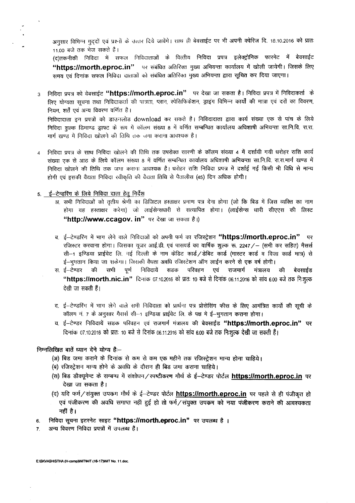अनुसार विभिन्न मुददों एवं प्रश्नों के उत्तार दिये जावेंगे। साथ ही बेवसाईट पर भी अपनी क्वेरिज दि. 18.10.2016 को प्रात 11.00 बजे तक भेज सकते हैं।

(द)तकनीकी निविदा में सफल निविदाताओं के वित्तीय निविदा प्रपत्र इलेक्ट्रोनिक फारमेट में बेवसाईट "https://morth.eproc.in" पर संबंधित अतिरिक्त मुख्य अभियन्ता कार्यालय में खोली जायेगी। जिसके लिए समय एवं दिनांक सफल निविद। दाताओं को संबंधित अतिरिक्त मुख्य अभियन्ता द्वारा सूचित कर दिया जाएगा।

3 निविदा प्रपत्र को वेबसाईट **''https://morth.eproc.in''** पर देखा जा सकता है। निविदा प्रपत्र में निविदाकर्ता के लिए योग्यता सचना तथा निविदाकर्ता की पात्रता, प्लान, स्पेसिफिकेशन, ड्राइंग विभिन्न कार्यों की मात्रा एवं दरों का विवरण, नियम, शर्तें एवं अन्य विवरण वर्णित है।

ran, संसदन आप हैं कि मानवर में भी हो।<br>निविदादाता इन प्रपत्रों को डाउनलोड downlo<mark>ad</mark> कर सकते हैं। निविदादाता द्वारा कार्य संख्या एक से पांच के लिये निविदा शल्क डिमाण्ड ड्राफ्ट के रूप में कॉलम संख्या 8 में वर्णित सम्बन्धित कार्यालय अधिशाषी अभियन्ता सा.नि.वि. रा.रा. मार्ग खण्ड में निविदा खोलने की तिथि तक जमा कराना आवश्यक है।

4 निविदा प्रपत्र के साथ निविदा खोलने की तिथि तक उपरोक्त सारणी के कॉलम संख्या 4 <mark>में दर्शा</mark>यी गयी धरोहर राशि क ~ ~ ~ 3lTO \* ~ ~ ~J <sup>8</sup> *it* crfU\C1 <sup>~</sup> <sup>~</sup> <sup>~</sup> 3lfi1<:Rrr 'ffi.f.i.f<t. ~.~.1Wf~ *it* निविदा खोलने की तिथि तक जमा कराना आवश्यक है। धरोहर राशि निविदा प्रपत्र में दर्शाई गई किसी भी विधि से मान्य होगी एवं इसकी वैद्यता निविदा रवीकृति की वैद्यता तिथि से पैतालीस (45) दिन अधिक होगी।

# <u>5. ई-टेन्डरिंग के लिये निविदा दाता हेतु नि</u>

- अ. सभी निविदाओं को तृतीय श्रेणी का डिजिटल हस्ताक्षर प्रमाण पत्र देना होगा (जो कि बिड में जिस व्यक्ति का नाम होगा वह हस्ताक्षर करेगा) जो लाईसेन्सधारी से सत्यापित होगा। (लाईसेन्स धारी सीएएस की लिस्ट "http://www.ccagov. in" पर देखा जा सकता है।)
- ब. ई—टेण्डरिंग में भाग लेने वाले निविदाओं को अपनी फर्म का रजिस्ट्रेशन **"https://morth.eproc.in"** पर रजिस्टर करवाना होगा। जिसका यूजर आई.डी. एवं पासवर्ड का वार्षिक शुल्क रू. 2247 / - (सभी कर सहित) मैसर्स राजस्टर करवाना लगाना लासका कूलर लाइ.ज. एवं नासक कार्य वासक सुख्य *से. 22417 - सिना कर साहेस) ने*सरस ्ई—भुगतान किया जा सकेगा। जिसकी वैधता अवधि रजिस्टेशन ऑन लाईन करने <mark>से एक वर्ष होगी।</mark><br>स. ई—टेण्डर ~ की ~ सभी ~ पूर्ण निविदायें ~ सडक ~ परिवहन ~ एवं ~ राजमार्ग मंत्रालय
- 'एवं राजमार्ग मंत्रालय की बेवसाई<del>ड</del> "https://morth.nic.in" विनांक 07.10.2016 को प्रातः 10 बजे से दिनांक 06.11.2016 को सांय 6.00 बजे तक निःशुल्क देखी जा सकती हैं।
- द. ई—टेण्डरिंग में भाग लेगे वाले सभी निविदाता को प्रार्थना पत्र प्रोसेसिंग फीस के <mark>लिए आमंत्रित कार्यो की सूची</mark> के कॉलम नं. 7 के अनुसार गैरार्स सी-1 इण्डिया प्राईवेट लि. के पक्ष मे ई-भुगतान कराना होगा।
- य. ई-टेण्डर निविदायें सडक परिवहन एवं राजगार्ग गंत्रालय की बेवसाईड "https://morth.eproc.in" पर दिनांक 07.10.2016 को प्रातः 10 बजे से दिनांक 06.11.2016 को सांय 6.00 बजे तक निःशूल्क देखी जा सकती हैं।

#### निम्नलिखित बातें ध्यान देने योग्य हैः--

- (अ) बिड जमा कराने के दिनांक से कम से कम एक महीने तक रजिस्ट्रेशन मान्य होना चाहिये।
- (ज) बिड जना करान के दिनाक राजका राजन एक नहान राक राजरट्रशन<br>(ब) रजिस्ट्रेशन मान्य होने के अवधि के दौरान ही बिड जमा कराना चाहिये।
- \;<br>(स) बिड डौक्यूमेन्ट के सम्बन्ध में संशोधन ⁄ स्पष्टीकरण मौर्थ के ई—टेण्डर पोर्टल <u>https://morth.eproc.in</u> पर देखा जा सकता है।
- (द) यदि फर्म/संयुक्त उपक्रम मौर्थ के ई-टेण्डर पोर्टल **https://morth.eproc.in** पर पहले से ही पंजीकृत हो *एवं पंजीकरण की अवधि समाप्त नहीं हुई हो तो फर्म / संयुक्त उपकम को नया पंजीकरण कराने की आवश्यकता* नहीं है।
- 6. निविदा सूचना इटरनेट साइट "https://morth.eproc.in" पर उपलब्ध है ।
- 7. अन्य विवरण निविदा प्रपत्रों में उपलब्ध हैं।

E:ISKVASHISTHA (H-comp)INITINIT (16-17)INIT No. 11.doc.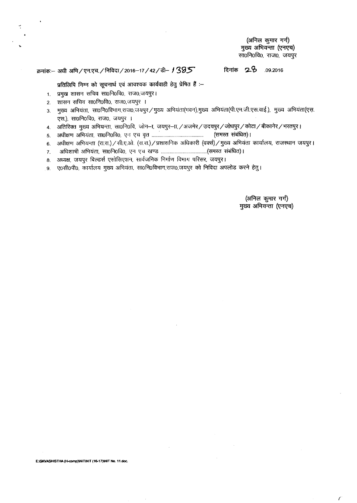**(~ <gJfR** rnf) मुख्य अभियन्ता (एनएच) सा0नि0वि0, राज0, जयपूर

#### $\frac{1}{2}$ क्रमांकः— अधी अभि / एन.एच. / निविदा / 2016-17 / 42 / डी- *1*385

**<sup>~</sup> ':2-<2>** .09.2016

प्रतिलिपि निम्न को सूचनार्थ एवं आवश्यक कार्यवाही हेतु प्रेषित हैं :-

- 1. प्रमुख शासन सचिव सा0नि0वि0, राज0,जयपुर।
- 2. शासन सचिव सा0नि0वि0, राज0,जयपुर ।
- 3. मुख्य अभियंता, सा0नि0विभाग,राज0,जयपुर/मुख्य अभियंता(भवन),मुख्य अभियंता(पी.एम.जी.एस.वाई.), मुख्य अभियंता(एस. एस.), सा0नि0वि0, राज0, जयपुर ।
- 4. अतिरिक्त मुख्य अभियन्ता, सा0नि0वि, जोन–ा, जयपुर–ा, / अजमेर / उदयपुर / जोधपुर / कोटा / बीकानेर / भरतपुर ।
- 5. ~afUT~. "ffiof.lofctO.~ <sup>~</sup> ¥ .. ~ ~) <sup>I</sup>
- 6. अधीक्षण अभियन्ता (रा.रा.) / सी.ए.ओ. (रा.रा.) / प्रशासनिक अधिकारी (वर्क्स) / मुख्य अभियंता कार्यालय, राजस्थान जयपुर।
- 7. ~ ~. "ffiof.'lofctO.\9 <sup>~</sup>'C.l <sup>~</sup> ("WffiJ ~) I
- 8. अध्यक्ष, जयपुर बिल्डर्स एसोसिएशन, सार्वजनिक निर्माण विभाग परिसर, जयपुर।
- 9. ए0सी0पी0, कार्यालय मुख्य अभियंता, सा0नि0विभाग,राज0,जयपुर को निविदा अपलोड करने हेतु।

(अनिल कुमार गर्ग) मुख्य अभियन्ता (एनएच)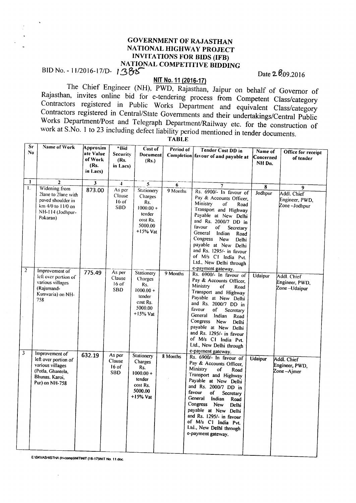#### GOVERNMENT OF RAJASTHAN NATIONAL HIGHWAY PROJECT INVITATIONS FOR BIDS (IFB) NATIONAL COMPETITIVE BIDDING  $BID\,No. - 11/2016-17/D - 1.385$

#### **NIT** No.11 (2016·17)

The Chief Engineer (NH), PWD, Rajasthan, Jaipur on behalf of Governor of Rajasthan, invites online bid for e-tendering process from Competent Class/category Contractors registered in Public Works Department and equivalent Class/category Contractors registered in Central/State Governments and their undertakings/Central Public Works Department/Post and Telegraph Department/Railway etc. for the construction of work at S.No. 1 to 23 including defect liability period mentioned in tender documents.

|                         | Sr<br>Name of Work<br>No.                                                                                           | Approxim<br>ate Value<br>of Work<br>(Rs.<br>in Lacs) | *Bid<br>Security<br>(Rs.<br>in Lacs)      | Cost of<br>Document<br>(Rs.)                                                               | Period of | <b>Tender Cost DD</b> in<br>Completion favour of and payable at                                                                                                                                                                                                                                                                                                                                        | Name of<br>Concerned<br>NH Dn. | Office for receipt<br>of tender               |
|-------------------------|---------------------------------------------------------------------------------------------------------------------|------------------------------------------------------|-------------------------------------------|--------------------------------------------------------------------------------------------|-----------|--------------------------------------------------------------------------------------------------------------------------------------------------------------------------------------------------------------------------------------------------------------------------------------------------------------------------------------------------------------------------------------------------------|--------------------------------|-----------------------------------------------|
| $\mathbf{L}$            | $\mathbf{I}$<br>$\overline{2}$                                                                                      | $\overline{\mathbf{3}}$                              | $\blacktriangleleft$                      | 5                                                                                          | 6         | $\overline{7}$                                                                                                                                                                                                                                                                                                                                                                                         | 8                              | 9                                             |
|                         | Widening from<br>2lane to 2lane with<br>paved shoulder in<br>km 4/0 to 11/0 on<br>NH-114 (Jodhpur-<br>Pokaran)      | 873.00                                               | As per<br>Clause<br>$16$ of<br><b>SBD</b> | Stationery<br>Charges<br>Rs.<br>$1000.00 +$<br>tender<br>cost Rs.<br>5000.00<br>$+15%$ Vat | 9 Months  | Rs. 6900/- In favour of<br>Pay & Accounts Officer,<br>Ministry<br>of<br>Road<br>Transport and Highway<br>Payable at New Delhi<br>and Rs. 2000/7 DD in<br>favour<br>of<br>Secretary<br>General<br>Indian<br>Road<br>Congress<br>New<br>Delhi<br>payable at New Delhi<br>and Rs. 1295/- in favour<br>of M/s C1 India Pvt.<br>Ltd., New Delhi through                                                     | Jodhpur                        | Addl. Chief<br>Engineer, PWD,<br>Zone-Jodhpur |
| $\overline{c}$          | Improvement of<br>left over portion of<br>various villages<br>(Rajsmand-<br>Kunwaria) on NH-<br>758                 | 775.49                                               | As per<br>Clause<br>$16$ of<br><b>SBD</b> | Stationery<br>Charges<br>Rs.<br>$1000.00 +$<br>tender<br>cost Rs.<br>5000.00<br>$+15%$ Vat | 9 Months  | e-payment gateway.<br>Rs. 6900/- In favour of<br>Pay & Accounts Officer,<br>Ministry<br>of<br>Road<br>Transport and Highway<br>Payable at New Delhi<br>and Rs. 2000/7 DD in<br>favour<br>of<br>Secretary<br>General<br>Indian<br>Road<br>Congress New<br>Delhi<br>payable at New Delhi<br>and Rs. 1295/- in favour<br>of M/s C1 India Pvt.<br>Ltd., New Delhi through                                  | <b>Udaipur</b>                 | Addl. Chief<br>Engineer, PWD,<br>Zone-Udaipur |
| $\overline{\mathbf{3}}$ | Improvement of<br>left over portion of<br>various villages<br>(Potla, Ghantela,<br>Bhunas, Karoi,<br>Pur) on NH-758 | 632.19                                               | As per<br>Clause<br>$16$ of<br><b>SBD</b> | Stationery<br>Charges<br>Rs.<br>$1000.00 +$<br>tender<br>cost Rs.<br>5000.00<br>$+15%$ Vat | 8 Months  | e-payment gateway.<br>Rs. 6900/- In favour of<br>Pay & Accounts Officer,<br>Ministry<br>of<br>Road<br>Transport and Highway<br>Payable at New Delhi<br>and Rs. 2000/7 DD in<br>favour<br><sub>of</sub><br>Secretary<br>General<br>Indian<br>Road<br>Congress New<br>Delhi<br>payable at New Delhi<br>and Rs. 1295/- in favour<br>of M/s C1 India Pvt.<br>Ltd., New Delhi through<br>e-payment gateway. | <b>Udaipur</b>                 | Addl. Chief<br>Engineer, PWD,<br>Zone –Ajmer  |

TABLE

E:ISKVASHISTHA (H-comp)INITINIT (16-17)INIT No. 11.doc.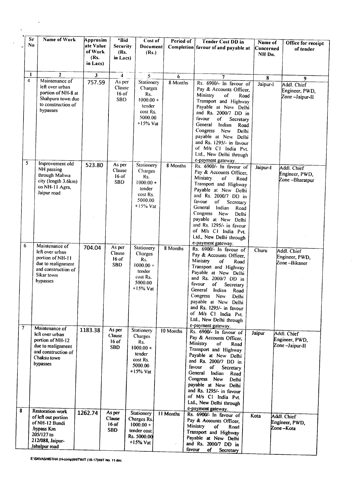| Sr<br>No          | Name of Work                                                                                                                      | Approxim<br>ate Value<br>of Work<br>(Rs.<br>in Lacs) | *Bid<br><b>Security</b><br>(Rs.<br>in Lacs)                 | Cost of<br>Document<br>(Rs.)                                                                    | Period of        | <b>Tender Cost DD</b> in<br>Completion favour of and payable at                                                                                                                                                                                                                                                                                                                                | Name of<br>Concerned<br>NH Dn. | Office for receipt<br>of tender                      |
|-------------------|-----------------------------------------------------------------------------------------------------------------------------------|------------------------------------------------------|-------------------------------------------------------------|-------------------------------------------------------------------------------------------------|------------------|------------------------------------------------------------------------------------------------------------------------------------------------------------------------------------------------------------------------------------------------------------------------------------------------------------------------------------------------------------------------------------------------|--------------------------------|------------------------------------------------------|
| $\mathbf{1}$<br>4 | $\mathbf{z}$<br>Maintenance of<br>left over urban<br>portion of NH-8 at<br>Shahpura town due<br>to construction of<br>bypasses    | $\overline{\mathbf{3}}$<br>757.59                    | $\overline{4}$<br>As per<br>Clause<br>$16$ of<br><b>SBD</b> | 5<br>Stationery<br>Charges<br>Rs.<br>$1000.00 +$<br>tender<br>cost Rs.<br>5000.00<br>$+15%$ Vat | 6<br>8 Months    | 7<br>Rs. 6900/- In favour of<br>Pay & Accounts Officer,<br>Ministry<br>of<br>Road<br>Transport and Highway<br>Payable at New Delhi<br>and Rs. 2000/7 DD in<br>favour<br>of<br>Secretary<br>General<br>Indian<br>Road<br>Congress<br>New<br>Delhi<br>payable at New Delhi<br>and Rs. 1295/- in favour<br>of M/s C1 India Pvt.<br>Ltd., New Delhi through                                        | 8<br>Jaipur-I                  | 9<br>Addl. Chief<br>Engineer, PWD,<br>Zone-Jaipur-II |
| 5                 | Improvement old<br>NH passing<br>through Mahwa<br>city (length 3.6km)<br>on NH-11 Agra,<br>Jaipur road                            | 523.80                                               | As per<br>Clause<br>$16$ of<br><b>SBD</b>                   | Stationery<br>Charges<br>Rs.<br>$1000.00 +$<br>tender<br>cost Rs.<br>5000.00<br>$+15\%$ Vat     | 8 Months         | e-payment gateway.<br>Rs. 6900/- In favour of<br>Pay & Accounts Officer,<br>Ministry<br>of<br>Road<br>Transport and Highway<br>Payable at New Delhi<br>and Rs. 2000/7 DD in<br>favour<br>of<br>Secretary<br>General<br>Indian<br>Road<br>Congress<br>New<br>Delhi<br>payable at New Delhi<br>and Rs. 1295/- in favour<br>of M/s C1 India Pvt.<br>Ltd., New Delhi through                       | Jaipur-I                       | Addl. Chief<br>Engineer, PWD,<br>Zone-Bharatpur      |
| 6                 | Maintenance of<br>left over urban<br>portion of NH-11<br>due to realignment<br>and construction of<br>Sikar town<br>bypasses      | 704.04                                               | As per<br>Clause<br>$16$ of<br><b>SBD</b>                   | Stationery<br>Charges<br>Rs.<br>$1000.00 +$<br>tender<br>cost Rs.<br>5000.00<br>$+15%$ Vat      | 8 Months         | e-payment gateway.<br>Rs. 6900/- In favour of<br>Pay & Accounts Officer,<br>Ministry<br>of<br>Road<br>Transport and Highway<br>Payable at New Delhi<br>and Rs. 2000/7 DD in<br>favour<br>of<br>Secretary<br>General<br>Indian<br>Road<br>Congress<br>New<br>Delhi<br>payable at New Delhi<br>and Rs. 1295/- in favour<br>of M/s C1 India Pvt.<br>Ltd., New Delhi through<br>e-payment gateway. | Churu                          | Addl. Chief<br>Engineer, PWD,<br>Zone –Bikaner       |
| 7                 | Maintenance of<br>left over urban<br>portion of NH-12<br>due to realignment<br>and construction of<br>Chaksu town<br>bypasses     | 1183.38                                              | As per<br>Clause<br>$16$ of<br><b>SBD</b>                   | Stationery<br>Charges<br>Rs.<br>$1000.00 +$<br>tender<br>cost Rs.<br>5000.00<br>$+15%$ Vat      | 10 Months        | Rs. 6900/- In favour of<br>Pay & Accounts Officer,<br>Ministry<br>of<br>Road<br>Transport and Highway<br>Payable at New Delhi<br>and Rs. 2000/7 DD in<br>favour<br>of<br>Secretary<br>General<br>Indian<br>Road<br>Congress New<br><b>Delhi</b><br>payable at New Delhi<br>and Rs. 1295/- in favour<br>of M/s Cl India Pvt.<br>Ltd., New Delhi through                                         | Jaipur                         | Addl. Chief<br>Engineer, PWD,<br>Zone -Jaipur-II     |
| 8                 | <b>Restoration work</b><br>of left out portion<br>of NH-12 Bundi<br>.bypass Km<br>205/127 to<br>212/088, Jaipur-<br>Jabalpur road | 1262.74                                              | As per<br>Clause<br>16 of<br><b>SBD</b>                     | Stationery<br>Charges Rs.<br>$1000.00 +$<br>tender cost<br>Rs. 5000.00<br>$+15%$ Vat            | <b>11 Months</b> | e-payment gateway.<br>Rs. 6900/- In favour of<br>Pay & Accounts Officer,<br>Ministry<br>of<br>Road<br>Transport and Highway<br>Payable at New Delhi<br>and Rs. 2000/7 DD in<br>favour<br>of<br>Secretary                                                                                                                                                                                       | Kota                           | Addl. Chief<br>Engineer, PWD,<br>Zone-Kota           |

 $\mathcal{A}$ 

E:\SKVASHISTHA (H-comp)INIT1N1T (16-17)INIT No. 1'.doc.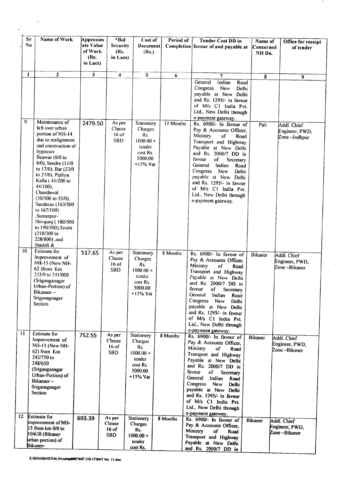|                      | Sr<br>No | Name of Work                                                                                                                                                                                                                                                                                                                                                                                                                | Approxim<br>ate Value<br>of Work<br>(Rs.<br>in Lacs) | *Bid<br>Security<br>(Rs.<br>in Lacs)      | Cost of<br>Document<br>(Rs.)                                                               | Period of | <b>Tender Cost DD</b> in<br>Completion favour of and payable at                                                                                                                                                                                                                                                                                                                 | Name of<br>Concerned<br>NH Dn. | Office for receipt<br>of tender                |
|----------------------|----------|-----------------------------------------------------------------------------------------------------------------------------------------------------------------------------------------------------------------------------------------------------------------------------------------------------------------------------------------------------------------------------------------------------------------------------|------------------------------------------------------|-------------------------------------------|--------------------------------------------------------------------------------------------|-----------|---------------------------------------------------------------------------------------------------------------------------------------------------------------------------------------------------------------------------------------------------------------------------------------------------------------------------------------------------------------------------------|--------------------------------|------------------------------------------------|
|                      | 1        | $\overline{2}$                                                                                                                                                                                                                                                                                                                                                                                                              | $\overline{\mathbf{3}}$                              | $\blacktriangleleft$                      | 5 <sub>1</sub>                                                                             | 6         | 7                                                                                                                                                                                                                                                                                                                                                                               | 8                              | 9                                              |
|                      |          |                                                                                                                                                                                                                                                                                                                                                                                                                             |                                                      |                                           |                                                                                            |           | Indian<br>General<br>Road<br>Congress<br>New<br>Delhi<br>payable at New Delhi<br>and Rs. 1295/- in favour<br>of M/s C1 India Pvt.<br>Ltd., New Delhi through<br>e-payment gateway.                                                                                                                                                                                              |                                |                                                |
|                      | 9        | Maintenance of<br>left over urban<br>portion of NH-14<br>due to realignment<br>and construction of<br>bypasses<br>Beawar (0/0 to<br>8/0), Sendra (11/0<br>to 17/0), Bar (23/0<br>to 27/0), Pipliya<br>Kalla (41/200 to<br>44/100).<br>Chandawal<br>$(50/500 \text{ to } 53/0)$ .<br>Sanderao (163/500<br>to 167/100)<br>.Sumerpur-<br>Shivganj (180/500<br>to 190/500), Sirohi<br>(218/300 to<br>228/800), and<br>Jhadoli & | 2479.50                                              | As per<br>Clause<br>$16$ of<br><b>SBD</b> | Stationery<br>Charges<br>Rs.<br>$1000.00 +$<br>tender<br>cost Rs.<br>5000.00<br>$+15%$ Vat | 11 Months | Rs. 6900/- In favour of<br>Pay & Accounts Officer,<br>Ministry<br>of<br>Road<br>Transport and Highway<br>Payable at New Delhi<br>and Rs. 2000/7 DD in<br>favour<br>of<br>Secretary<br>General<br>Indian<br>Road<br>Congress<br>New<br><b>Delhi</b><br>payable at New Delhi<br>and Rs. 1295/- in favour<br>of M/s C1 India Pvt.<br>Ltd., New Delhi through<br>e-payment gateway. | Pali                           | Addl. Chief<br>Engineer, PWD,<br>Zone-Jodhpur  |
| 10<br>$\overline{1}$ |          | <b>Estimate</b> for<br>Improvement of<br>NH-15 (New NH-<br>62 )from Km<br>233/0 to 241/000<br>(Sriganganagar<br>Urban-Portion) of<br>Bikanaer-<br>Sriganagnager<br>Section<br><b>Estimate</b> for                                                                                                                                                                                                                           | 517.65                                               | As per<br>Clause<br>$16$ of<br><b>SBD</b> | Stationery<br>Charges<br>Rs.<br>$1000.00 +$<br>tender<br>cost Rs.<br>5000.00<br>$+15%$ Vat | 8 Months  | Rs. 6900/- In favour of<br>Pay & Accounts Officer,<br>Ministry<br>of<br>Road<br>Transport and Highway<br>Payable at New Delhi<br>and Rs. 2000/7 DD in<br>favour<br>of<br>Secretary<br>General<br>Indian<br>Road<br>Congress New<br>Delhi<br>payable at New Delhi<br>and Rs. 1295/- in favour<br>of M/s C1 India Pvt.<br>Ltd., New Delhi through<br>e-payment gateway.           | <b>Bikaner</b>                 | Addl. Chief<br>Engineer, PWD,<br>Zone-Bikaner  |
|                      |          | Improvement of<br>NH-15 (New NH-<br>62) from Km<br>242/750 to<br>248/650<br>(Sriganganagar<br>Urban-Portion) of<br>Bikanaer –<br>Sriganagnager<br>Section                                                                                                                                                                                                                                                                   | 752.55                                               | As per<br>Clause<br>$16$ of<br><b>SBD</b> | Stationery<br>Charges<br>Rs.<br>$1000.00 +$<br>tender<br>cost Rs.<br>5000.00<br>$+15%$ Vat | 8 Months  | Rs. 6900/- In favour of<br>Pay & Accounts Officer,<br>Ministry<br>of<br>Road<br>Transport and Highway<br>Payable at New Delhi<br>and Rs. 2000/7 DD in<br>favour<br>of<br>Secretary<br>General<br>Indian<br>Road<br>Congress<br>New<br>Delhi<br>payable at New Delhi<br>and Rs. 1295/- in favour<br>of M/s C1 India Pvt.<br>Ltd., New Delhi through<br>e-payment gateway.        | <b>Bikaner</b>                 | Addl. Chief<br>Engineer, PWD,<br>Zone –Bikaner |
| 12.                  |          | <b>Estimate for</b><br>improvement of NH-<br>15 from km 0/0 to<br>10/630 (Bikaner<br>urban portion) of<br>Bikaner-                                                                                                                                                                                                                                                                                                          | 693.39                                               | As per<br>Clause<br>$16$ of<br><b>SBD</b> | Stationery<br>Charges<br>Rs.<br>$1000.00 +$<br>tender<br>cost Rs.                          | 8 Months  | Rs. 6900/- In favour of<br>Pay & Accounts Officer,<br>Ministry<br>of<br>Road<br>Transport and Highway<br>Payable at New Delhi<br>and Rs. 2000/7 DD in                                                                                                                                                                                                                           | <b>Bikaner</b>                 | Addl. Chief<br>Engineer, PWD,<br>Zone-Bikaner  |

 $\hat{\boldsymbol{\lambda}}$ 

E:ISKVASHISTHA (H-comp)INITINIT (16-17)INIT No. 11.doc.

 $\bar{z}$ 

 $\hat{\mathcal{A}}$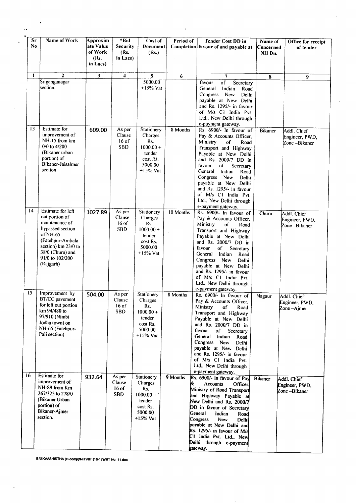| Sr<br>No. | Name of Work                                                                                                                                                                         | Approxim<br>ate Value<br>of Work<br>(Rs.<br>in Lacs) | *Bid<br>Security<br>(Rs.<br>in Lacs)      | Cost of<br>Document<br>(Rs.)                                                               | Period of | <b>Tender Cost DD in</b><br>Completion favour of and payable at                                                                                                                                                                                                                                                                                                                 | Name of<br> Concerned<br>NH Dn. | Office for receipt<br>of tender               |
|-----------|--------------------------------------------------------------------------------------------------------------------------------------------------------------------------------------|------------------------------------------------------|-------------------------------------------|--------------------------------------------------------------------------------------------|-----------|---------------------------------------------------------------------------------------------------------------------------------------------------------------------------------------------------------------------------------------------------------------------------------------------------------------------------------------------------------------------------------|---------------------------------|-----------------------------------------------|
| 1         | $\overline{2}$                                                                                                                                                                       | $\mathbf{3}$                                         | 4                                         | 5                                                                                          | 6         | $\overline{7}$                                                                                                                                                                                                                                                                                                                                                                  | $\overline{\mathbf{8}}$         | 9                                             |
|           | Sriganganagar<br>section.                                                                                                                                                            |                                                      |                                           | 5000.00<br>$+15%$ Vat                                                                      |           | $\overline{\text{of}}$<br>favour<br>Secretary<br>General<br>Indian<br>Road<br>Congress<br>New<br>Delhi<br>payable at New Delhi<br>and Rs. 1295/- in favour<br>of M/s C1 India Pvt.<br>Ltd., New Delhi through<br>e-payment gateway.                                                                                                                                             |                                 |                                               |
| 13        | Estimate for<br>improvement of<br>NH-15 from km<br>$0/0$ to $4/200$<br>(Bikaner urban<br>portion) of<br>Bikaner-Jaisalmer<br>section                                                 | 609.00                                               | As per<br>Clause<br>$16$ of<br><b>SBD</b> | Stationery<br>Charges<br>Rs.<br>$1000.00 +$<br>tender<br>cost Rs.<br>5000.00<br>+15% Vat   | 8 Months  | Rs. 6900/- In favour of<br>Pay & Accounts Officer,<br>Ministry<br>of<br>Road<br>Transport and Highway<br>Payable at New Delhi<br>and Rs. 2000/7 DD in<br>favour<br>of<br>Secretary<br>General<br>Indian<br>Road<br>Congress<br><b>New</b><br>Delhi<br>payable at New Delhi<br>and Rs. 1295/- in favour<br>of M/s C1 India Pvt.<br>Ltd., New Delhi through<br>e-payment gateway. | <b>Bikaner</b>                  | Addl. Chief<br>Engineer, PWD,<br>Zone-Bikaner |
| 14        | Estimate for left<br>out portion of<br>maintenance of<br>bypassed section<br>of NH-65<br>(Fatehpur-Ambala<br>section) km 23/0 to<br>38/0 (Churu) and<br>91/0 to 102/200<br>(Rajgarh) | 1027.89                                              | As per<br>Clause<br>$16$ of<br><b>SBD</b> | Stationery<br>Charges<br>Rs.<br>$1000.00 +$<br>tender<br>cost Rs.<br>5000.00<br>$+15%$ Vat | 10 Months | Rs. 6900/- In favour of<br>Pay & Accounts Officer,<br>Ministry<br>of<br>Road<br>Transport and Highway<br>Payable at New Delhi<br>and Rs. 2000/7 DD in<br>favour<br>of<br>Secretary<br>General<br>Indian<br>Road<br>Congress<br>New<br>Delhi<br>payable at New Delhi<br>and Rs. 1295/- in favour<br>of M/s CI India Pvt.<br>Ltd., New Delhi through<br>e-payment gateway.        | Churu                           | Addl. Chief<br>Engineer, PWD.<br>Zone-Bikaner |
| 15        | Improvement by<br>BT/CC pavement<br>for left out portion<br>km 94/480 to<br>97/910 (Nimbi<br>Jodha town) on<br>NH-65 (Fatehpur-<br>Pali section)                                     | 504.00                                               | As per<br>Clause<br>16 of<br><b>SBD</b>   | Stationery<br>Charges<br>Rs.<br>$1000.00 +$<br>tender<br>cost Rs.<br>5000.00<br>$+15%$ Vat | 8 Months  | Rs. 6900/- In favour of<br>Pay & Accounts Officer,<br><b>Ministry</b><br>of<br>Road<br>Transport and Highway<br>Payable at New Delhi<br>and Rs. 2000/7 DD in<br>favour<br>of<br>Secretary<br>General Indian<br>Road<br>Congress New<br>Delhi<br>payable at New Delhi<br>and Rs. 1295/- in favour<br>of M/s C1 India Pvt.<br>Ltd., New Delhi through<br>e-payment gateway.       | Nagaur                          | Addl. Chief<br>Engineer, PWD,<br>Zone-Ajmer   |
| 16        | <b>Estimate for</b><br>improvement of<br>NH-89 from Km<br>267/325 to 278/0<br>(Bikaner Urban<br>portion) of<br>Bikaner-Ajmer<br>section.                                             | 932.64                                               | As per<br>Clause<br>$16$ of<br><b>SBD</b> | Stationery<br>Charges<br>Rs.<br>$1000.00 +$<br>tender<br>cost Rs.<br>5000,00<br>$+15%$ Vat | 9 Months  | Rs. 6900/- In favour of Pay<br>Accounts<br>&.<br>Officer.<br>Ministry of Road Transport<br>and Highway Payable at<br>New Delhi and Rs. 2000/7<br>DD in favour of Secretary<br>General<br>Indian<br>Road<br>Congress<br>New<br>Delhi<br>payable at New Delhi and<br>Rs. 1295/- in favour of M/s<br>C1 India Pvt. Ltd., New<br>Delhi through e-payment<br>gateway.                | <b>Bikaner</b>                  | Addl. Chief<br>Engineer, PWD,<br>Zone-Bikaner |

 $\cdot$ 

E:ISKVASHISTHA (H-comp)INITINIT (16-17)INIT No. 11.doc.

l,

 $\sim 6\%$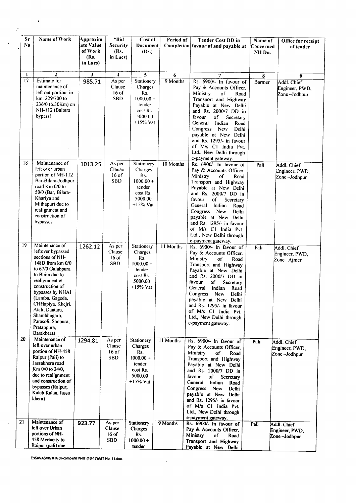| Sr<br>N <sub>0</sub> | Name of Work                                                                                                                                                                                                                                                                                            | Approxim<br>ate Value<br>of Work<br>(Rs.<br>in Lacs) | *Bid<br>Security<br>(Rs.<br>in Lacs)      | Cost of<br><b>Document</b><br>(Rs.)                                                        | Period of        | <b>Tender Cost DD in</b><br>Completion favour of and payable at                                                                                                                                                                                                                                                                                                                             | Name of<br>Concerned<br>NH Dn. | Office for receipt<br>of tender                |
|----------------------|---------------------------------------------------------------------------------------------------------------------------------------------------------------------------------------------------------------------------------------------------------------------------------------------------------|------------------------------------------------------|-------------------------------------------|--------------------------------------------------------------------------------------------|------------------|---------------------------------------------------------------------------------------------------------------------------------------------------------------------------------------------------------------------------------------------------------------------------------------------------------------------------------------------------------------------------------------------|--------------------------------|------------------------------------------------|
| 1                    | $\overline{2}$                                                                                                                                                                                                                                                                                          | $\overline{\mathbf{3}}$                              | $\overline{4}$                            | 5                                                                                          | 6                | 7                                                                                                                                                                                                                                                                                                                                                                                           | 8                              | 9                                              |
| 17                   | Estimate for<br>maintenance of<br>left out portion in<br>km. 229/700 to<br>236/0 (6.30Km) on<br>NH-112 (Balotra<br>bypass)                                                                                                                                                                              | 985.71                                               | As per<br>Clause<br>$16$ of<br><b>SBD</b> | Stationery<br>Charges<br>Rs.<br>$1000.00 +$<br>tender<br>cost Rs.<br>5000.00<br>+15% Vat   | 9 Months         | Rs. 6900/- In favour of<br>Pay & Accounts Officer,<br>Ministry<br>of<br>Road<br>Transport and Highway<br>Payable at New Delhi<br>and Rs. 2000/7 DD in<br>favour<br>оf<br>Secretary<br>General<br>Indian<br>Road<br>Congress New<br>Delhi<br>payable at New Delhi<br>and Rs. 1295/- in favour<br>of M/s C1 India Pvt.<br>Ltd., New Delhi through<br>e-payment gateway.                       | Barmer                         | Addl. Chief<br>Engineer, PWD,<br>Zone-Jodhpur  |
| 18                   | Maintenance of<br>left over urban<br>portion of NH-112<br>Bar-Bilara-Jodhpur<br>road Km 0/0 to<br>50/0 (Bar, Bilara-<br>Khariya and<br>Mithapur) due to<br>realignment and<br>construction of<br>bypasses                                                                                               | 1013.25                                              | As per<br>Clause<br>$16$ of<br><b>SBD</b> | Stationery<br>Charges<br>Rs.<br>$1000.00 +$<br>tender<br>cost Rs.<br>5000.00<br>$+15%$ Vat | 10 Months        | Rs. 6900/- In favour of<br>Pay & Accounts Officer.<br>Ministry<br>of<br>Road<br>Transport and Highway<br>Payable at New Delhi<br>and Rs. 2000/7 DD in<br>favour<br>of<br>Secretary<br>General<br>Indian<br>Road<br>Congress<br><b>New</b><br>Delhi<br>payable at New Delhi<br>and Rs. 1295/- in favour<br>of M/s C1 India Pvt.<br>Ltd., New Delhi through                                   | Pali                           | Addl. Chief<br>Engineer, PWD,<br>Zone –Jodhpur |
| 19                   | Maintenance of<br>leftover bypassed<br>sections of NH-<br>148D from km 0/0<br>to 67/0 Gulabpura<br>to Bhim due to<br>realignment &<br>construction of<br>bypasses by NHAI<br>(Lamba, Gageda,<br>CHHapiya, Khejri.<br>Atali, Dantara.<br>Shambhugarh,<br>Parasoli, Shopura,<br>Pratappura,<br>Barakhera) | 1262.12                                              | As per<br>Clause<br>$16$ of<br><b>SBD</b> | Stationery<br>Charges<br>Rs.<br>$1000.00 +$<br>tender<br>cost Rs.<br>5000.00<br>$+15%$ Vat | 11 Months        | e-payment gateway.<br>Rs. 6900/- In favour of<br>Pay & Accounts Officer,<br>Ministry<br>of<br>Road<br>Transport and Highway<br>Payable at New Delhi<br>and Rs. 2000/7 DD in<br>favour<br>of Secretary<br>General<br>Indian<br>Road<br>Congress<br>New<br>Delhi<br>payable at New Delhi<br>and Rs. 1295/- in favour<br>of M/s C1 India Pvt.<br>Ltd., New Delhi through<br>e-payment gateway. | Pali                           | Addl. Chief<br>Engineer, PWD,<br>Zone-Ajmer    |
| 20                   | Maintenance of<br>left over urban<br>portion of NH-458<br>Raipur (Pali) to<br>Jassakhera road<br>Km 0/0 to 34/0,<br>due to realignment<br>and construction of<br>bypasses (Raipur,<br>Kalab Kalan, Jassa<br>khera)                                                                                      | 1294.81                                              | As per<br>Clause<br>$16$ of<br><b>SBD</b> | Stationery<br>Charges<br>Rs.<br>$1000.00 +$<br>tender<br>cost Rs.<br>5000.00<br>$+15%$ Vat | <b>11 Months</b> | Rs. 6900/- In favour of<br>Pay & Accounts Officer,<br>Ministry<br>of<br>Road<br>Transport and Highway<br>Payable at New Delhi<br>and Rs. 2000/7 DD in<br>favour<br>of a<br>Secretary<br>General<br>Indian<br>Road<br>Congress<br>New<br>Delhi<br>payable at New Delhi<br>and Rs. 1295/- in favour<br>of M/s C1 India Pvt.<br>Ltd., New Delhi through<br>e-payment gateway.                  | Pali                           | Addl. Chief<br>Engineer, PWD,<br>Zone-Jodhpur  |
| 21                   | Maintenance of<br>left over Urban<br>portions of NH-<br>458 Mertacity to<br>Raipur (pali) due                                                                                                                                                                                                           | 923.77                                               | As per<br>Clause<br>16 of<br><b>SBD</b>   | Stationery<br>Charges<br>Rs.<br>$1000.00 +$<br>tender                                      | 9 Months         | Rs. 6900/- In favour of<br>Pay & Accounts Officer,<br>Ministry<br>of<br>Road<br>Transport and Highway<br>Payable at New Delhi                                                                                                                                                                                                                                                               | Pali                           | Addl. Chief<br>Engineer, PWD,<br>Zone-Jodhpur  |

 $\bar{\beta}$ 

E:ISKVASHISTHA (H-comp)INITWIT (16-17)INIT No. 11.doc.

 $\hat{\boldsymbol{\beta}}$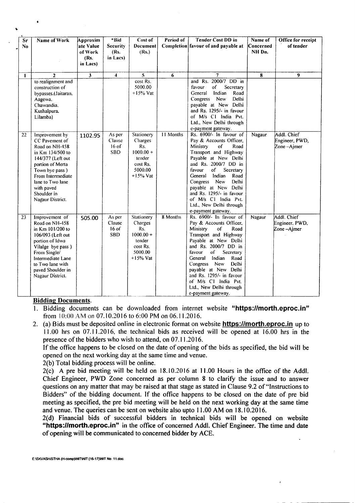| Sr<br>N <sub>0</sub> | <b>Name of Work</b>                                                                                                                                                                                                         | Approxim<br>ate Value<br>of Work<br>(Rs.<br>in Lacs) | *Bid<br><b>Security</b><br>(Rs.<br>in Lacs) | Cost of<br>Document<br>(Rs.)                                                               | Period of | <b>Tender Cost DD in</b><br>Completion favour of and payable at                                                                                                                                                                                                                                                                                                                                       | Name of<br>Concerned<br>NH Dn. | Office for receipt<br>of tender             |
|----------------------|-----------------------------------------------------------------------------------------------------------------------------------------------------------------------------------------------------------------------------|------------------------------------------------------|---------------------------------------------|--------------------------------------------------------------------------------------------|-----------|-------------------------------------------------------------------------------------------------------------------------------------------------------------------------------------------------------------------------------------------------------------------------------------------------------------------------------------------------------------------------------------------------------|--------------------------------|---------------------------------------------|
| $\mathbf{I}$         | $\overline{2}$<br>to realignment and<br>construction of<br>bypasses.(Jaitaran,<br>Aagewa.<br>Chawandia.<br>Kushalpura.<br>Lilamba)                                                                                          | $\overline{\mathbf{3}}$                              | $\blacktriangleleft$                        | 5<br>cost Rs.<br>5000.00<br>$+15%$ Vat                                                     | 6         | 7<br>and Rs. 2000/7 DD in<br>favour<br>of<br>Secretary<br>Indian<br>Road<br>General<br>Congress<br><b>New</b><br>Delhi<br>payable at New Delhi<br>and Rs. 1295/- in favour<br>of M/s C1 India Pvt.<br>Ltd., New Delhi through                                                                                                                                                                         | $\overline{\mathbf{8}}$        | 9                                           |
| 22                   | Improvement by<br>CC Pavement of<br>Road on NH-458<br>in Km 134/500 to<br>144/377 (Left out<br>portion of Merta<br>Town bye pass)<br>From Intermediate<br>lane to Two lane<br>with paved<br>Shoulder in<br>Nagaur District. | 1102.95                                              | As per<br>Clause<br>$16$ of<br><b>SBD</b>   | Stationery<br>Charges<br>Rs.<br>$1000.00 +$<br>tender<br>cost Rs.<br>5000.00<br>$+15%$ Vat | 11 Months | e-payment gateway.<br>Rs. 6900/- In favour of<br>Pay & Accounts Officer,<br>Ministry<br>of<br>Road<br>Transport and Highway<br>Payable at New Delhi<br>and Rs. 2000/7 DD in<br>favour<br>of<br>Secretary<br>General<br>Indian<br>Road<br>Congress<br><b>New</b><br>Delhi<br>payable at New Delhi<br>and Rs. 1295/- in favour<br>of M/s C1 India Pvt.<br>Ltd., New Delhi through<br>e-payment gateway. | Nagaur                         | Addl. Chief<br>Engineer, PWD,<br>Zone-Ajmer |
| 23                   | Improvement of<br>Road on NH-458<br>in Km 101/200 to<br>106/093 (Left out<br>portion of Idwa<br>Vilalge bye pass)<br>From Single/<br>Intermediate Lane<br>to Two lane with<br>paved Shoulder in<br>Nagaur District.         | 505.00                                               | As per<br>Clause<br>$16$ of<br><b>SBD</b>   | Stationery<br>Charges<br>Rs.<br>$1000.00 +$<br>tender<br>cost Rs.<br>5000.00<br>$+15%$ Vat | 8 Months  | Rs. 6900/- In favour of<br>Pay & Accounts Officer,<br>Ministry<br>of<br>Road<br>Transport and Highway<br>Payable at New Delhi<br>and Rs. 2000/7 DD in<br>favour<br>of<br>Secretary<br>Indian<br>General<br>Road<br>Congress New<br>Delhi<br>payable at New Delhi<br>and Rs. 1295/- in favour<br>of M/s C1 India Pvt.<br>Ltd., New Delhi through<br>e-payment gateway.                                 | Nagaur                         | Addl. Chief<br>Engineer, PWD,<br>Zone-Ajmer |

#### Bidding Documents.

- 1. Bidding documents can be downloaded from internet website "https://morth.eproc.in" from 10:00 AM on 07.10.2016 to 6:00 PM on 06.11.2016.
- 2. (a) Bids must be deposited online in electronic format on website **https://morth.eproc.in** up to ) 1.00 hrs on 07.1 1.2016, the technical bids as received will be opened at 16.00 hrs in the presence of the bidders who wish to attend, on 07.1 1.2016.

If the office happens to be closed on the date of opening of the bids as specified, the bid will be opened on the next working day at the same time and venue.

2(b) Total bidding process will be online.

 $2(c)$  A pre bid meeting will be held on  $18.10.2016$  at  $11.00$  Hours in the office of the Addl. Chief Engineer, PWD Zone concerned as per column 8 to clarify the issue and to answer questions on any matter that may be raised at that stage as stated in Clause 9.2 of "Instructions to Bidders" of the bidding document. If the office happens to be closed on the date of pre bid meeting as specified, the pre bid meeting will be held on the next working day at the same time and venue. The queries can be sent on website also upto 11.00 AM on 18.10.2016.

2(d) Financial bids of successful bidders in technical bids will be opened on website *"https:llmorth.eproc.in"* in the office of concerned Addl. Chief Engineer. The time and date of opening will be communicated to concerned bidder by ACE.

.-- - - - -------